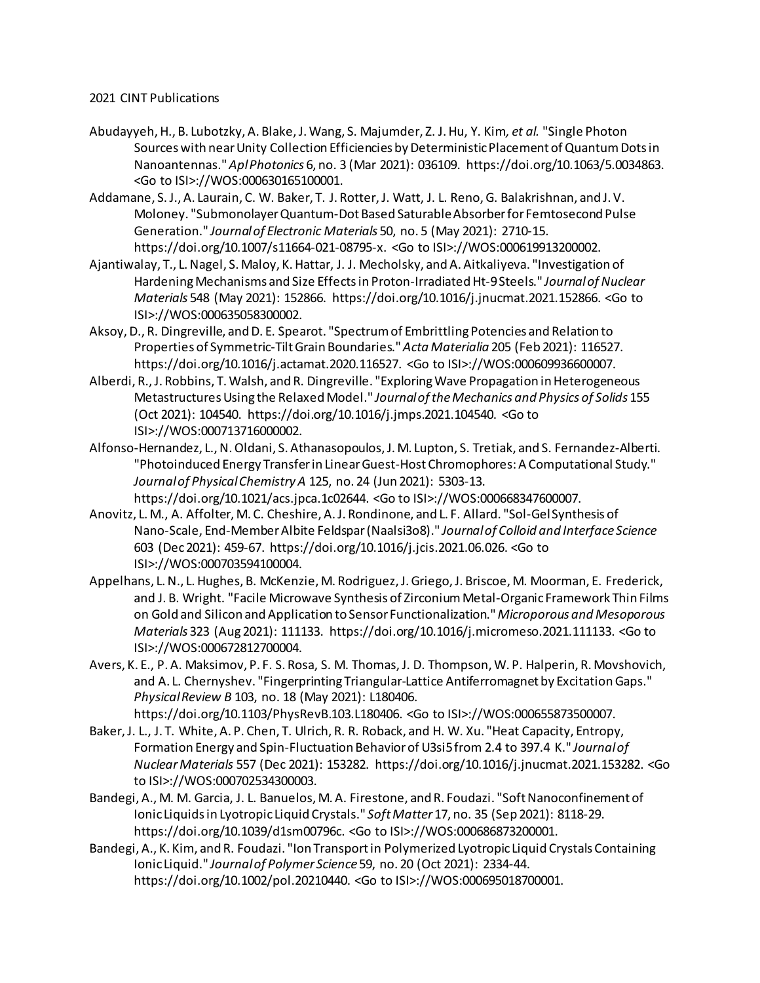## 2021 CINT Publications

- Abudayyeh, H., B. Lubotzky, A. Blake, J. Wang, S. Majumder, Z. J. Hu, Y. Kim*, et al.* "Single Photon Sources with near Unity Collection Efficiencies by Deterministic Placement of Quantum Dots in Nanoantennas." *Apl Photonics* 6, no. 3 (Mar 2021): 036109. https://doi.org/10.1063/5.0034863. <Go to ISI>://WOS:000630165100001.
- Addamane, S. J., A. Laurain, C. W. Baker, T. J. Rotter, J. Watt, J. L. Reno, G. Balakrishnan, and J. V. Moloney. "Submonolayer Quantum-Dot Based Saturable Absorber for Femtosecond Pulse Generation." *Journal of Electronic Materials* 50, no. 5 (May 2021): 2710-15. https://doi.org/10.1007/s11664-021-08795-x. <Go to ISI>://WOS:000619913200002.
- Ajantiwalay, T., L. Nagel, S. Maloy, K. Hattar, J. J. Mecholsky, and A. Aitkaliyeva. "Investigation of Hardening Mechanisms and Size Effects in Proton-Irradiated Ht-9 Steels." *Journal of Nuclear Materials* 548 (May 2021): 152866. https://doi.org/10.1016/j.jnucmat.2021.152866. <Go to ISI>://WOS:000635058300002.
- Aksoy, D., R. Dingreville, and D. E. Spearot. "Spectrum of Embrittling Potencies and Relation to Properties of Symmetric-Tilt Grain Boundaries." *Acta Materialia* 205 (Feb 2021): 116527. https://doi.org/10.1016/j.actamat.2020.116527. <Go to ISI>://WOS:000609936600007.
- Alberdi, R., J. Robbins, T. Walsh, and R. Dingreville. "Exploring Wave Propagation in Heterogeneous Metastructures Using the Relaxed Model." *Journal of the Mechanics and Physics of Solids* 155 (Oct 2021): 104540. https://doi.org/10.1016/j.jmps.2021.104540. <Go to ISI>://WOS:000713716000002.
- Alfonso-Hernandez, L., N. Oldani, S. Athanasopoulos, J. M. Lupton, S. Tretiak, and S. Fernandez-Alberti. "Photoinduced Energy Transfer in Linear Guest-Host Chromophores: A Computational Study." *Journal of Physical Chemistry A* 125, no. 24 (Jun 2021): 5303-13. https://doi.org/10.1021/acs.jpca.1c02644. <Go to ISI>://WOS:000668347600007.
- Anovitz, L. M., A. Affolter, M. C. Cheshire, A. J. Rondinone, and L. F. Allard. "Sol-Gel Synthesis of Nano-Scale, End-Member Albite Feldspar (Naalsi3o8)." *Journal of Colloid and Interface Science*  603 (Dec 2021): 459-67. https://doi.org/10.1016/j.jcis.2021.06.026. <Go to ISI>://WOS:000703594100004.
- Appelhans, L. N., L. Hughes, B. McKenzie, M. Rodriguez, J. Griego, J. Briscoe, M. Moorman, E. Frederick, and J. B. Wright. "Facile Microwave Synthesis of Zirconium Metal-Organic Framework Thin Films on Gold and Silicon and Application to Sensor Functionalization." *Microporous and Mesoporous Materials* 323 (Aug 2021): 111133. https://doi.org/10.1016/j.micromeso.2021.111133. <Go to ISI>://WOS:000672812700004.
- Avers, K. E., P. A. Maksimov, P. F. S. Rosa, S. M. Thomas, J. D. Thompson, W. P. Halperin, R. Movshovich, and A. L. Chernyshev. "Fingerprinting Triangular-Lattice Antiferromagnet by Excitation Gaps." *Physical Review B* 103, no. 18 (May 2021): L180406. https://doi.org/10.1103/PhysRevB.103.L180406. <Go to ISI>://WOS:000655873500007.
- Baker, J. L., J. T. White, A. P. Chen, T. Ulrich, R. R. Roback, and H. W. Xu. "Heat Capacity, Entropy, Formation Energy and Spin-Fluctuation Behavior of U3si5 from 2.4 to 397.4 K." *Journal of Nuclear Materials* 557 (Dec 2021): 153282. https://doi.org/10.1016/j.jnucmat.2021.153282. <Go to ISI>://WOS:000702534300003.
- Bandegi, A., M. M. Garcia, J. L. Banuelos, M. A. Firestone, and R. Foudazi. "Soft Nanoconfinement of Ionic Liquids in Lyotropic Liquid Crystals." *Soft Matter* 17, no. 35 (Sep 2021): 8118-29. https://doi.org/10.1039/d1sm00796c. <Go to ISI>://WOS:000686873200001.
- Bandegi, A., K. Kim, and R. Foudazi. "Ion Transport in Polymerized Lyotropic Liquid Crystals Containing Ionic Liquid." *Journal of Polymer Science* 59, no. 20 (Oct 2021): 2334-44. https://doi.org/10.1002/pol.20210440. <Go to ISI>://WOS:000695018700001.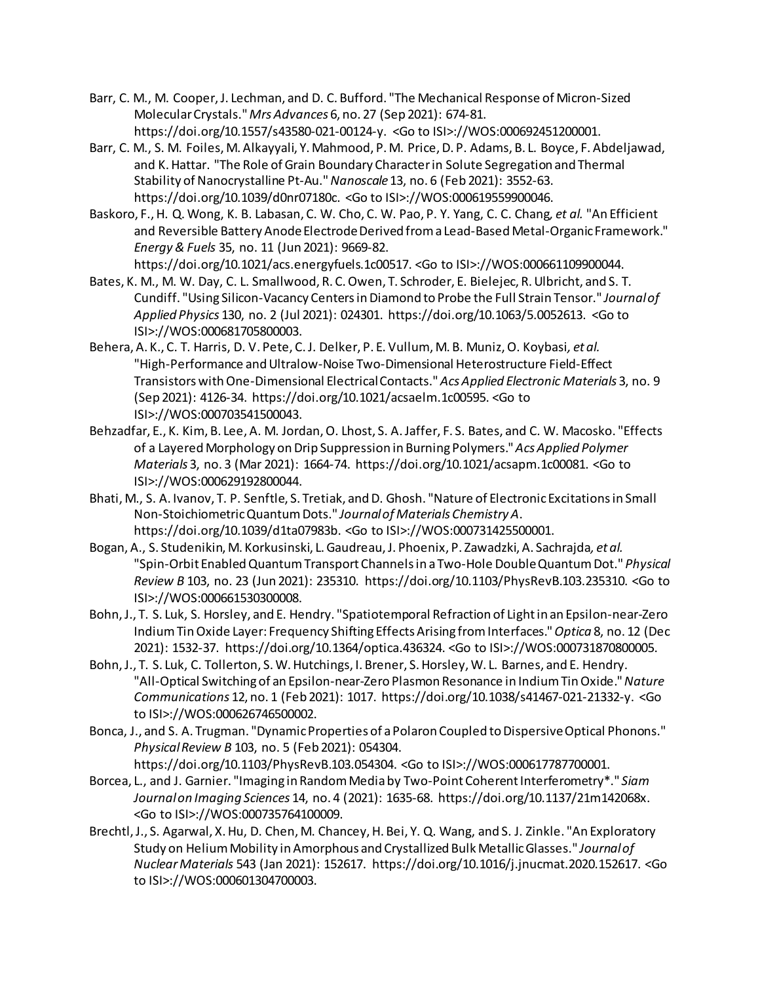- Barr, C. M., M. Cooper, J. Lechman, and D. C. Bufford. "The Mechanical Response of Micron-Sized Molecular Crystals." *Mrs Advances* 6, no. 27 (Sep 2021): 674-81. https://doi.org/10.1557/s43580-021-00124-y. <Go to ISI>://WOS:000692451200001.
- Barr, C. M., S. M. Foiles, M. Alkayyali, Y. Mahmood, P. M. Price, D. P. Adams, B. L. Boyce, F. Abdeljawad, and K. Hattar. "The Role of Grain Boundary Character in Solute Segregation and Thermal Stability of Nanocrystalline Pt-Au." *Nanoscale* 13, no. 6 (Feb 2021): 3552-63. https://doi.org/10.1039/d0nr07180c. <Go to ISI>://WOS:000619559900046.
- Baskoro, F., H. Q. Wong, K. B. Labasan, C. W. Cho, C. W. Pao, P. Y. Yang, C. C. Chang*, et al.* "An Efficient and Reversible Battery Anode Electrode Derived from a Lead-Based Metal-Organic Framework." *Energy & Fuels* 35, no. 11 (Jun 2021): 9669-82. https://doi.org/10.1021/acs.energyfuels.1c00517. <Go to ISI>://WOS:000661109900044.
- Bates, K. M., M. W. Day, C. L. Smallwood, R. C. Owen, T. Schroder, E. Bielejec, R. Ulbricht, and S. T. Cundiff. "Using Silicon-Vacancy Centers in Diamond to Probe the Full Strain Tensor." *Journal of Applied Physics* 130, no. 2 (Jul 2021): 024301. https://doi.org/10.1063/5.0052613. <Go to ISI>://WOS:000681705800003.
- Behera, A. K., C. T. Harris, D. V. Pete, C. J. Delker, P. E. Vullum, M. B. Muniz, O. Koybasi*, et al.* "High-Performance and Ultralow-Noise Two-Dimensional Heterostructure Field-Effect Transistors with One-Dimensional Electrical Contacts." *Acs Applied Electronic Materials* 3, no. 9 (Sep 2021): 4126-34. https://doi.org/10.1021/acsaelm.1c00595. <Go to ISI>://WOS:000703541500043.
- Behzadfar, E., K. Kim, B. Lee, A. M. Jordan, O. Lhost, S. A. Jaffer, F. S. Bates, and C. W. Macosko. "Effects of a Layered Morphology on Drip Suppression in Burning Polymers." *Acs Applied Polymer Materials* 3, no. 3 (Mar 2021): 1664-74. https://doi.org/10.1021/acsapm.1c00081. <Go to ISI>://WOS:000629192800044.
- Bhati, M., S. A. Ivanov, T. P. Senftle, S. Tretiak, and D. Ghosh. "Nature of Electronic Excitations in Small Non-Stoichiometric Quantum Dots." *Journal of Materials Chemistry A*. https://doi.org/10.1039/d1ta07983b. <Go to ISI>://WOS:000731425500001.
- Bogan, A., S. Studenikin, M. Korkusinski, L. Gaudreau, J. Phoenix, P. Zawadzki, A. Sachrajda*, et al.* "Spin-Orbit Enabled Quantum Transport Channels in a Two-Hole Double Quantum Dot." *Physical Review B* 103, no. 23 (Jun 2021): 235310. https://doi.org/10.1103/PhysRevB.103.235310. <Go to ISI>://WOS:000661530300008.
- Bohn, J., T. S. Luk, S. Horsley, and E. Hendry. "Spatiotemporal Refraction of Light in an Epsilon-near-Zero Indium Tin Oxide Layer: Frequency Shifting Effects Arising from Interfaces." *Optica* 8, no. 12 (Dec 2021): 1532-37. https://doi.org/10.1364/optica.436324. <Go to ISI>://WOS:000731870800005.
- Bohn, J., T. S. Luk, C. Tollerton, S. W. Hutchings, I. Brener, S. Horsley, W. L. Barnes, and E. Hendry. "All-Optical Switching of an Epsilon-near-Zero Plasmon Resonance in Indium Tin Oxide." *Nature Communications* 12, no. 1 (Feb 2021): 1017. https://doi.org/10.1038/s41467-021-21332-y. <Go to ISI>://WOS:000626746500002.
- Bonca, J., and S. A. Trugman. "Dynamic Properties of a Polaron Coupled to Dispersive Optical Phonons." *Physical Review B* 103, no. 5 (Feb 2021): 054304. https://doi.org/10.1103/PhysRevB.103.054304. <Go to ISI>://WOS:000617787700001.
- Borcea, L., and J. Garnier. "Imaging in Random Media by Two-Point Coherent Interferometry\*." *Siam Journal on Imaging Sciences* 14, no. 4 (2021): 1635-68. https://doi.org/10.1137/21m142068x. <Go to ISI>://WOS:000735764100009.
- Brechtl, J., S. Agarwal, X. Hu, D. Chen, M. Chancey, H. Bei, Y. Q. Wang, and S. J. Zinkle. "An Exploratory Study on Helium Mobility in Amorphous and Crystallized Bulk Metallic Glasses." *Journal of Nuclear Materials* 543 (Jan 2021): 152617. https://doi.org/10.1016/j.jnucmat.2020.152617. <Go to ISI>://WOS:000601304700003.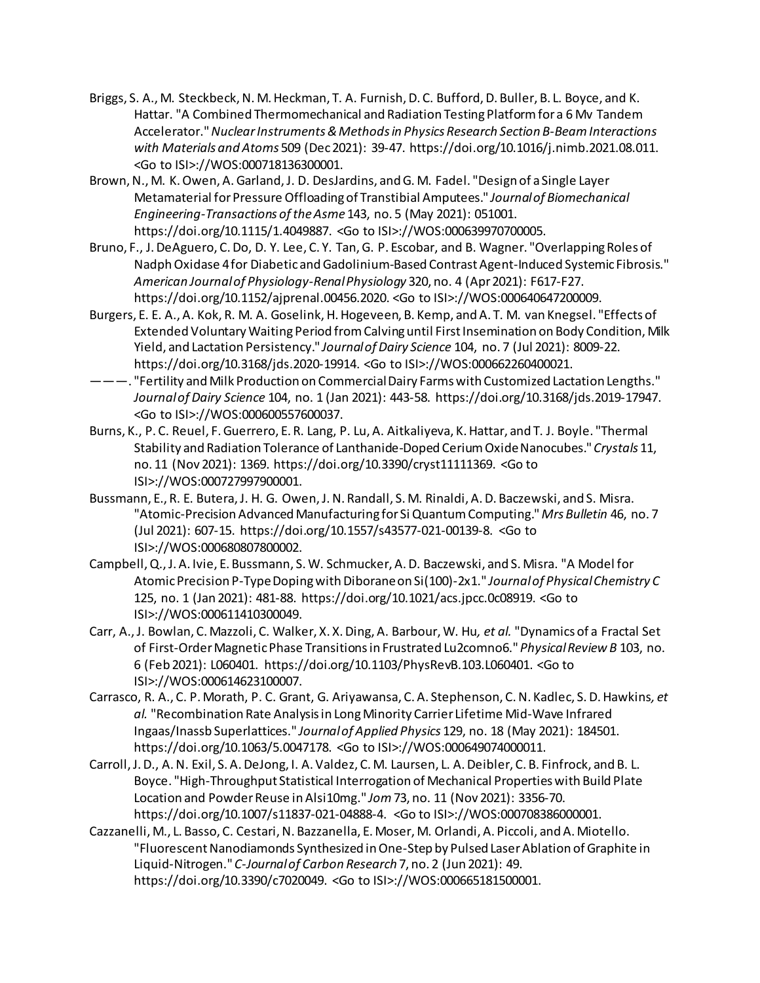- Briggs, S. A., M. Steckbeck, N. M. Heckman, T. A. Furnish, D. C. Bufford, D. Buller, B. L. Boyce, and K. Hattar. "A Combined Thermomechanical and Radiation Testing Platform for a 6 Mv Tandem Accelerator." *Nuclear Instruments & Methods in Physics Research Section B-Beam Interactions with Materials and Atoms* 509 (Dec 2021): 39-47. https://doi.org/10.1016/j.nimb.2021.08.011. <Go to ISI>://WOS:000718136300001.
- Brown, N., M. K. Owen, A. Garland, J. D. DesJardins, and G. M. Fadel. "Design of a Single Layer Metamaterial for Pressure Offloading of Transtibial Amputees." *Journal of Biomechanical Engineering-Transactions of the Asme* 143, no. 5 (May 2021): 051001. https://doi.org/10.1115/1.4049887. <Go to ISI>://WOS:000639970700005.
- Bruno, F., J. DeAguero, C. Do, D. Y. Lee, C. Y. Tan, G. P. Escobar, and B. Wagner. "Overlapping Roles of Nadph Oxidase 4 for Diabetic and Gadolinium-Based Contrast Agent-Induced Systemic Fibrosis." *American Journal of Physiology-Renal Physiology* 320, no. 4 (Apr 2021): F617-F27. https://doi.org/10.1152/ajprenal.00456.2020. <Go to ISI>://WOS:000640647200009.
- Burgers, E. E. A., A. Kok, R. M. A. Goselink, H. Hogeveen, B. Kemp, and A. T. M. van Knegsel. "Effects of Extended Voluntary Waiting Period from Calving until First Insemination on Body Condition, Milk Yield, and Lactation Persistency." *Journal of Dairy Science* 104, no. 7 (Jul 2021): 8009-22. https://doi.org/10.3168/jds.2020-19914. <Go to ISI>://WOS:000662260400021.
- ———. "Fertility and Milk Production on Commercial Dairy Farms with Customized Lactation Lengths." *Journal of Dairy Science* 104, no. 1 (Jan 2021): 443-58. https://doi.org/10.3168/jds.2019-17947. <Go to ISI>://WOS:000600557600037.
- Burns, K., P. C. Reuel, F. Guerrero, E. R. Lang, P. Lu, A. Aitkaliyeva, K. Hattar, and T. J. Boyle. "Thermal Stability and Radiation Tolerance of Lanthanide-Doped Cerium Oxide Nanocubes." *Crystals* 11, no. 11 (Nov 2021): 1369. https://doi.org/10.3390/cryst11111369. <Go to ISI>://WOS:000727997900001.
- Bussmann, E., R. E. Butera, J. H. G. Owen, J. N. Randall, S. M. Rinaldi, A. D. Baczewski, and S. Misra. "Atomic-Precision Advanced Manufacturing for Si Quantum Computing." *Mrs Bulletin* 46, no. 7 (Jul 2021): 607-15. https://doi.org/10.1557/s43577-021-00139-8. <Go to ISI>://WOS:000680807800002.
- Campbell, Q., J. A. Ivie, E. Bussmann, S. W. Schmucker, A. D. Baczewski, and S. Misra. "A Model for Atomic Precision P-Type Doping with Diborane on Si(100)-2x1." *Journal of Physical Chemistry C*  125, no. 1 (Jan 2021): 481-88. https://doi.org/10.1021/acs.jpcc.0c08919. <Go to ISI>://WOS:000611410300049.
- Carr, A., J. Bowlan, C. Mazzoli, C. Walker, X. X. Ding, A. Barbour, W. Hu*, et al.* "Dynamics of a Fractal Set of First-Order Magnetic Phase Transitions in Frustrated Lu2comno6." *Physical Review B* 103, no. 6 (Feb 2021): L060401. https://doi.org/10.1103/PhysRevB.103.L060401. <Go to ISI>://WOS:000614623100007.
- Carrasco, R. A., C. P. Morath, P. C. Grant, G. Ariyawansa, C. A. Stephenson, C. N. Kadlec, S. D. Hawkins*, et al.* "Recombination Rate Analysis in Long Minority Carrier Lifetime Mid-Wave Infrared Ingaas/Inassb Superlattices." *Journal of Applied Physics* 129, no. 18 (May 2021): 184501. https://doi.org/10.1063/5.0047178. <Go to ISI>://WOS:000649074000011.
- Carroll, J. D., A. N. Exil, S. A. DeJong, I. A. Valdez, C. M. Laursen, L. A. Deibler, C. B. Finfrock, and B. L. Boyce. "High-Throughput Statistical Interrogation of Mechanical Properties with Build Plate Location and Powder Reuse in Alsi10mg." *Jom* 73, no. 11 (Nov 2021): 3356-70. https://doi.org/10.1007/s11837-021-04888-4. <Go to ISI>://WOS:000708386000001.
- Cazzanelli, M., L. Basso, C. Cestari, N. Bazzanella, E. Moser, M. Orlandi, A. Piccoli, and A. Miotello. "Fluorescent Nanodiamonds Synthesized in One-Step by Pulsed Laser Ablation of Graphite in Liquid-Nitrogen." *C-Journal of Carbon Research* 7, no. 2 (Jun 2021): 49. https://doi.org/10.3390/c7020049. <Go to ISI>://WOS:000665181500001.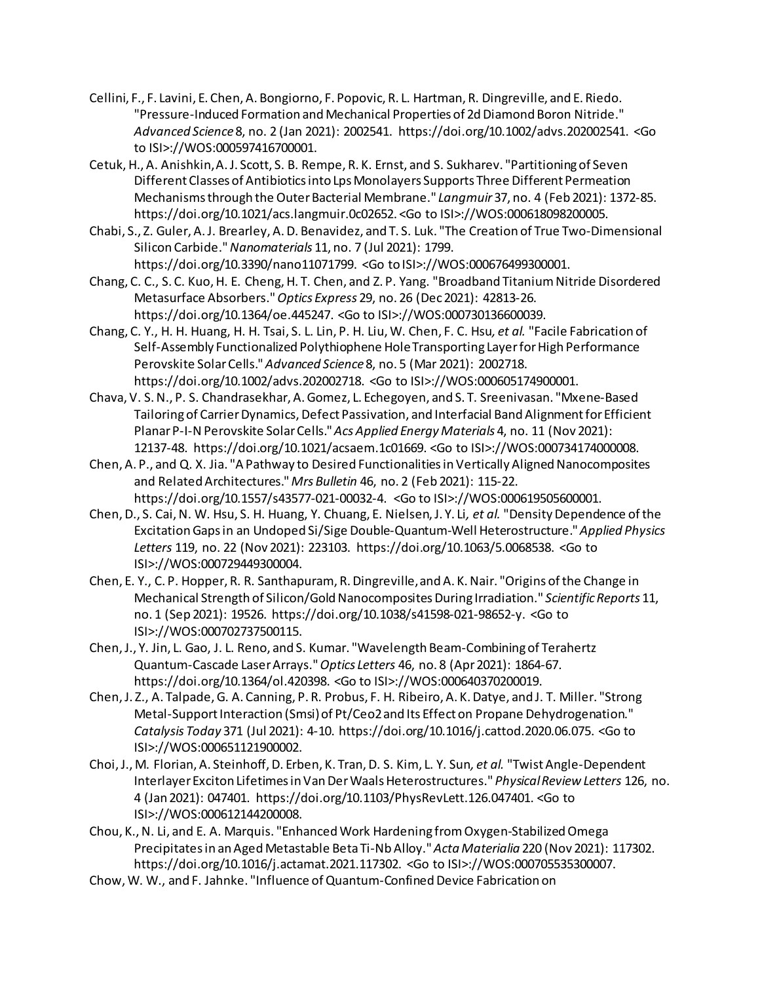- Cellini, F., F. Lavini, E. Chen, A. Bongiorno, F. Popovic, R. L. Hartman, R. Dingreville, and E. Riedo. "Pressure-Induced Formation and Mechanical Properties of 2d Diamond Boron Nitride." *Advanced Science* 8, no. 2 (Jan 2021): 2002541. https://doi.org/10.1002/advs.202002541. <Go to ISI>://WOS:000597416700001.
- Cetuk, H., A. Anishkin, A. J. Scott, S. B. Rempe, R. K. Ernst, and S. Sukharev. "Partitioning of Seven Different Classes of Antibiotics into Lps Monolayers Supports Three Different Permeation Mechanisms through the Outer Bacterial Membrane." *Langmuir* 37, no. 4 (Feb 2021): 1372-85. https://doi.org/10.1021/acs.langmuir.0c02652. <Go to ISI>://WOS:000618098200005.
- Chabi, S., Z. Guler, A. J. Brearley, A. D. Benavidez, and T. S. Luk. "The Creation of True Two-Dimensional Silicon Carbide." *Nanomaterials* 11, no. 7 (Jul 2021): 1799. https://doi.org/10.3390/nano11071799. <Go to ISI>://WOS:000676499300001.
- Chang, C. C., S. C. Kuo, H. E. Cheng, H. T. Chen, and Z. P. Yang. "Broadband Titanium Nitride Disordered Metasurface Absorbers." *Optics Express* 29, no. 26 (Dec 2021): 42813-26. https://doi.org/10.1364/oe.445247. <Go to ISI>://WOS:000730136600039.
- Chang, C. Y., H. H. Huang, H. H. Tsai, S. L. Lin, P. H. Liu, W. Chen, F. C. Hsu*, et al.* "Facile Fabrication of Self-Assembly Functionalized Polythiophene Hole Transporting Layer for High Performance Perovskite Solar Cells." *Advanced Science* 8, no. 5 (Mar 2021): 2002718. https://doi.org/10.1002/advs.202002718. <Go to ISI>://WOS:000605174900001.
- Chava, V. S. N., P. S. Chandrasekhar, A. Gomez, L. Echegoyen, and S. T. Sreenivasan. "Mxene-Based Tailoring of Carrier Dynamics, Defect Passivation, and Interfacial Band Alignment for Efficient Planar P-I-N Perovskite Solar Cells." *Acs Applied Energy Materials* 4, no. 11 (Nov 2021): 12137-48. https://doi.org/10.1021/acsaem.1c01669. <Go to ISI>://WOS:000734174000008.
- Chen, A. P., and Q. X. Jia. "A Pathway to Desired Functionalities in Vertically Aligned Nanocomposites and Related Architectures." *Mrs Bulletin* 46, no. 2 (Feb 2021): 115-22. https://doi.org/10.1557/s43577-021-00032-4. <Go to ISI>://WOS:000619505600001.
- Chen, D., S. Cai, N. W. Hsu, S. H. Huang, Y. Chuang, E. Nielsen, J. Y. Li*, et al.* "Density Dependence of the Excitation Gaps in an Undoped Si/Sige Double-Quantum-Well Heterostructure." *Applied Physics Letters* 119, no. 22 (Nov 2021): 223103. https://doi.org/10.1063/5.0068538. <Go to ISI>://WOS:000729449300004.
- Chen, E. Y., C. P. Hopper, R. R. Santhapuram, R. Dingreville, and A. K. Nair. "Origins of the Change in Mechanical Strength of Silicon/Gold Nanocomposites During Irradiation." *Scientific Reports* 11, no. 1 (Sep 2021): 19526. https://doi.org/10.1038/s41598-021-98652-y. <Go to ISI>://WOS:000702737500115.
- Chen, J., Y. Jin, L. Gao, J. L. Reno, and S. Kumar. "Wavelength Beam-Combining of Terahertz Quantum-Cascade Laser Arrays." *Optics Letters* 46, no. 8 (Apr 2021): 1864-67. https://doi.org/10.1364/ol.420398. <Go to ISI>://WOS:000640370200019.
- Chen, J. Z., A. Talpade, G. A. Canning, P. R. Probus, F. H. Ribeiro, A. K. Datye, and J. T. Miller. "Strong Metal-Support Interaction (Smsi) of Pt/Ceo2 and Its Effect on Propane Dehydrogenation." *Catalysis Today* 371 (Jul 2021): 4-10. https://doi.org/10.1016/j.cattod.2020.06.075. <Go to ISI>://WOS:000651121900002.
- Choi, J., M. Florian, A. Steinhoff, D. Erben, K. Tran, D. S. Kim, L. Y. Sun*, et al.* "Twist Angle-Dependent Interlayer Exciton Lifetimes in Van Der Waals Heterostructures." *Physical Review Letters* 126, no. 4 (Jan 2021): 047401. https://doi.org/10.1103/PhysRevLett.126.047401. <Go to ISI>://WOS:000612144200008.
- Chou, K., N. Li, and E. A. Marquis. "Enhanced Work Hardening from Oxygen-Stabilized Omega Precipitates in an Aged Metastable Beta Ti-Nb Alloy." *Acta Materialia* 220 (Nov 2021): 117302. https://doi.org/10.1016/j.actamat.2021.117302. <Go to ISI>://WOS:000705535300007.
- Chow, W. W., and F. Jahnke. "Influence of Quantum-Confined Device Fabrication on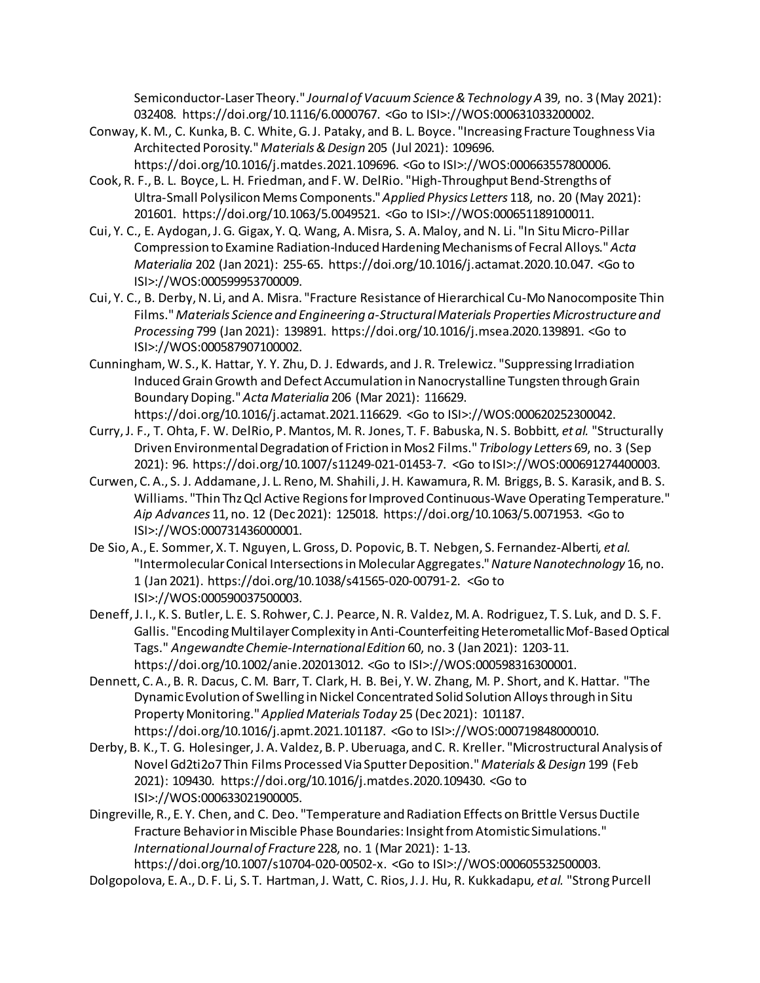Semiconductor-Laser Theory." *Journal of Vacuum Science & Technology A* 39, no. 3 (May 2021): 032408. https://doi.org/10.1116/6.0000767. <Go to ISI>://WOS:000631033200002.

- Conway, K. M., C. Kunka, B. C. White, G. J. Pataky, and B. L. Boyce. "Increasing Fracture Toughness Via Architected Porosity." *Materials & Design* 205 (Jul 2021): 109696. https://doi.org/10.1016/j.matdes.2021.109696. <Go to ISI>://WOS:000663557800006.
- Cook, R. F., B. L. Boyce, L. H. Friedman, and F. W. DelRio. "High-Throughput Bend-Strengths of Ultra-Small Polysilicon Mems Components." *Applied Physics Letters* 118, no. 20 (May 2021): 201601. https://doi.org/10.1063/5.0049521. <Go to ISI>://WOS:000651189100011.
- Cui, Y. C., E. Aydogan, J. G. Gigax, Y. Q. Wang, A. Misra, S. A. Maloy, and N. Li. "In Situ Micro-Pillar Compression to Examine Radiation-Induced Hardening Mechanisms of Fecral Alloys." *Acta Materialia* 202 (Jan 2021): 255-65. https://doi.org/10.1016/j.actamat.2020.10.047. <Go to ISI>://WOS:000599953700009.
- Cui, Y. C., B. Derby, N. Li, and A. Misra. "Fracture Resistance of Hierarchical Cu-Mo Nanocomposite Thin Films." *Materials Science and Engineering a-Structural Materials Properties Microstructure and Processing* 799 (Jan 2021): 139891. https://doi.org/10.1016/j.msea.2020.139891. <Go to ISI>://WOS:000587907100002.
- Cunningham, W. S., K. Hattar, Y. Y. Zhu, D. J. Edwards, and J. R. Trelewicz. "Suppressing Irradiation Induced Grain Growth and Defect Accumulation in Nanocrystalline Tungsten through Grain Boundary Doping." *Acta Materialia* 206 (Mar 2021): 116629. https://doi.org/10.1016/j.actamat.2021.116629. <Go to ISI>://WOS:000620252300042.
- Curry, J. F., T. Ohta, F. W. DelRio, P. Mantos, M. R. Jones, T. F. Babuska, N. S. Bobbitt*, et al.* "Structurally Driven Environmental Degradation of Friction in Mos2 Films." *Tribology Letters* 69, no. 3 (Sep 2021): 96. https://doi.org/10.1007/s11249-021-01453-7. <Go to ISI>://WOS:000691274400003.
- Curwen, C. A., S. J. Addamane, J. L. Reno, M. Shahili, J. H. Kawamura, R. M. Briggs, B. S. Karasik, and B. S. Williams. "Thin Thz Qcl Active Regions for Improved Continuous-Wave Operating Temperature." *Aip Advances* 11, no. 12 (Dec 2021): 125018. https://doi.org/10.1063/5.0071953. <Go to ISI>://WOS:000731436000001.
- De Sio, A., E. Sommer, X. T. Nguyen, L. Gross, D. Popovic, B. T. Nebgen, S. Fernandez-Alberti*, et al.* "Intermolecular Conical Intersections in Molecular Aggregates." *Nature Nanotechnology* 16, no. 1 (Jan 2021). https://doi.org/10.1038/s41565-020-00791-2. <Go to ISI>://WOS:000590037500003.
- Deneff, J. I., K. S. Butler, L. E. S. Rohwer, C. J. Pearce, N. R. Valdez, M. A. Rodriguez, T. S. Luk, and D. S. F. Gallis. "Encoding Multilayer Complexity in Anti-Counterfeiting Heterometallic Mof-Based Optical Tags." *Angewandte Chemie-International Edition* 60, no. 3 (Jan 2021): 1203-11. https://doi.org/10.1002/anie.202013012. <Go to ISI>://WOS:000598316300001.
- Dennett, C. A., B. R. Dacus, C. M. Barr, T. Clark, H. B. Bei, Y. W. Zhang, M. P. Short, and K. Hattar. "The Dynamic Evolution of Swelling in Nickel Concentrated Solid Solution Alloys through in Situ Property Monitoring." *Applied Materials Today* 25 (Dec 2021): 101187. https://doi.org/10.1016/j.apmt.2021.101187. <Go to ISI>://WOS:000719848000010.
- Derby, B. K., T. G. Holesinger, J. A. Valdez, B. P. Uberuaga, and C. R. Kreller. "Microstructural Analysis of Novel Gd2ti2o7 Thin Films Processed Via Sputter Deposition." *Materials & Design* 199 (Feb 2021): 109430. https://doi.org/10.1016/j.matdes.2020.109430. <Go to ISI>://WOS:000633021900005.
- Dingreville, R., E. Y. Chen, and C. Deo. "Temperature and Radiation Effects on Brittle Versus Ductile Fracture Behavior in Miscible Phase Boundaries: Insight from Atomistic Simulations." *International Journal of Fracture* 228, no. 1 (Mar 2021): 1-13. https://doi.org/10.1007/s10704-020-00502-x. <Go to ISI>://WOS:000605532500003.
- Dolgopolova, E. A., D. F. Li, S. T. Hartman, J. Watt, C. Rios, J. J. Hu, R. Kukkadapu*, et al.* "Strong Purcell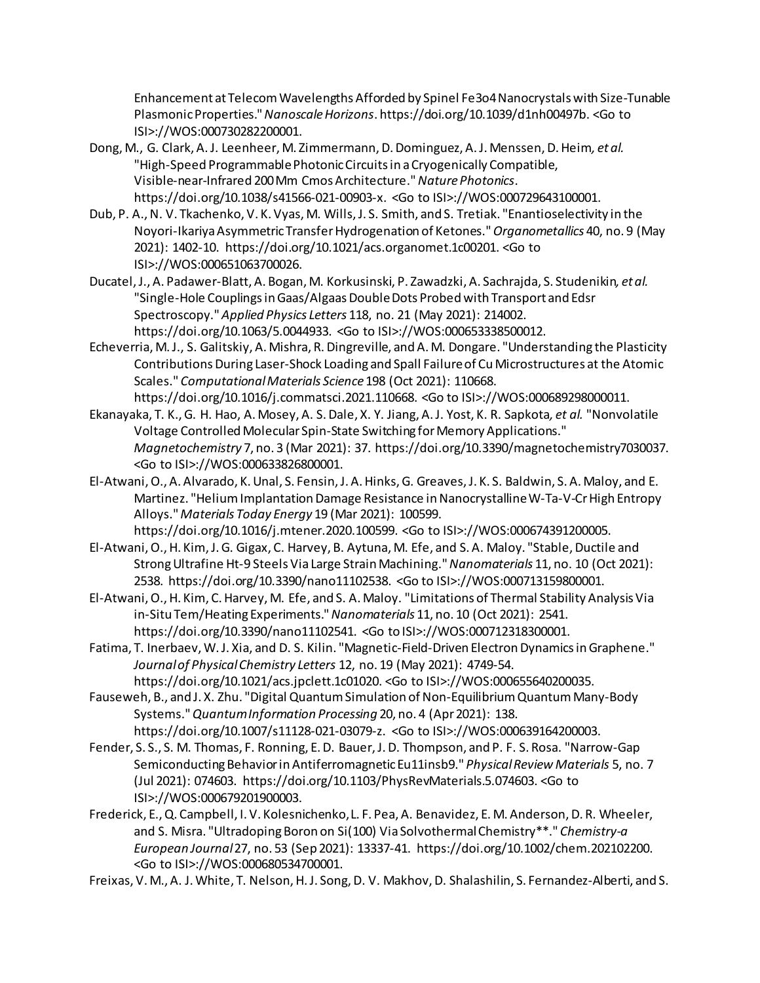Enhancement at Telecom Wavelengths Afforded by Spinel Fe3o4 Nanocrystals with Size-Tunable Plasmonic Properties." *Nanoscale Horizons*. https://doi.org/10.1039/d1nh00497b. <Go to ISI>://WOS:000730282200001.

- Dong, M., G. Clark, A. J. Leenheer, M. Zimmermann, D. Dominguez, A. J. Menssen, D. Heim*, et al.* "High-Speed Programmable Photonic Circuits in a Cryogenically Compatible, Visible-near-Infrared 200 Mm Cmos Architecture." *Nature Photonics*. https://doi.org/10.1038/s41566-021-00903-x. <Go to ISI>://WOS:000729643100001.
- Dub, P. A., N. V. Tkachenko, V. K. Vyas, M. Wills, J. S. Smith, and S. Tretiak. "Enantioselectivity in the Noyori-Ikariya AsymmetricTransfer Hydrogenation of Ketones." *Organometallics* 40, no. 9 (May 2021): 1402-10. https://doi.org/10.1021/acs.organomet.1c00201. <Go to ISI>://WOS:000651063700026.
- Ducatel, J., A. Padawer-Blatt, A. Bogan, M. Korkusinski, P. Zawadzki, A. Sachrajda, S. Studenikin*, et al.* "Single-Hole Couplings in Gaas/Algaas Double Dots Probed with Transport and Edsr Spectroscopy." *Applied Physics Letters* 118, no. 21 (May 2021): 214002. https://doi.org/10.1063/5.0044933. <Go to ISI>://WOS:000653338500012.
- Echeverria, M. J., S. Galitskiy, A. Mishra, R. Dingreville, and A. M. Dongare. "Understanding the Plasticity Contributions During Laser-Shock Loading and Spall Failure of Cu Microstructures at the Atomic Scales." *Computational Materials Science* 198 (Oct 2021): 110668. https://doi.org/10.1016/j.commatsci.2021.110668. <Go to ISI>://WOS:000689298000011.
- Ekanayaka, T. K., G. H. Hao, A. Mosey, A. S. Dale, X. Y. Jiang, A. J. Yost, K. R. Sapkota*, et al.* "Nonvolatile Voltage Controlled Molecular Spin-State Switching for Memory Applications." *Magnetochemistry* 7, no. 3 (Mar 2021): 37. https://doi.org/10.3390/magnetochemistry7030037. <Go to ISI>://WOS:000633826800001.
- El-Atwani, O., A. Alvarado, K. Unal, S. Fensin, J. A. Hinks, G. Greaves, J. K. S. Baldwin, S. A. Maloy, and E. Martinez. "Helium Implantation Damage Resistance in Nanocrystalline W-Ta-V-Cr High Entropy Alloys." *Materials Today Energy* 19 (Mar 2021): 100599.
- https://doi.org/10.1016/j.mtener.2020.100599. <Go to ISI>://WOS:000674391200005. El-Atwani, O., H. Kim, J. G. Gigax, C. Harvey, B. Aytuna, M. Efe, and S. A. Maloy. "Stable, Ductile and Strong Ultrafine Ht-9 Steels Via Large Strain Machining." *Nanomaterials* 11, no. 10 (Oct 2021): 2538. https://doi.org/10.3390/nano11102538. <Go to ISI>://WOS:000713159800001.
- El-Atwani, O., H. Kim, C. Harvey, M. Efe, and S. A. Maloy. "Limitations of Thermal Stability Analysis Via in-Situ Tem/Heating Experiments." *Nanomaterials* 11, no. 10 (Oct 2021): 2541. https://doi.org/10.3390/nano11102541. <Go to ISI>://WOS:000712318300001.
- Fatima, T. Inerbaev, W. J. Xia, and D. S. Kilin. "Magnetic-Field-Driven Electron Dynamics in Graphene." *Journal of Physical Chemistry Letters* 12, no. 19 (May 2021): 4749-54. https://doi.org/10.1021/acs.jpclett.1c01020. <Go to ISI>://WOS:000655640200035.
- Fauseweh, B., and J. X. Zhu. "Digital Quantum Simulation of Non-Equilibrium Quantum Many-Body Systems." *Quantum Information Processing* 20, no. 4 (Apr 2021): 138. https://doi.org/10.1007/s11128-021-03079-z. <Go to ISI>://WOS:000639164200003.
- Fender, S. S., S. M. Thomas, F. Ronning, E. D. Bauer, J. D. Thompson, and P. F. S. Rosa. "Narrow-Gap Semiconducting Behavior in Antiferromagnetic Eu11insb9." *Physical Review Materials* 5, no. 7 (Jul 2021): 074603. https://doi.org/10.1103/PhysRevMaterials.5.074603. <Go to ISI>://WOS:000679201900003.
- Frederick, E., Q. Campbell, I. V. Kolesnichenko, L. F. Pea, A. Benavidez, E. M. Anderson, D. R. Wheeler, and S. Misra. "Ultradoping Boron on Si(100) Via Solvothermal Chemistry\*\*." *Chemistry-a European Journal* 27, no. 53 (Sep 2021): 13337-41. https://doi.org/10.1002/chem.202102200. <Go to ISI>://WOS:000680534700001.
- Freixas, V. M., A. J. White, T. Nelson, H. J. Song, D. V. Makhov, D. Shalashilin, S. Fernandez-Alberti, and S.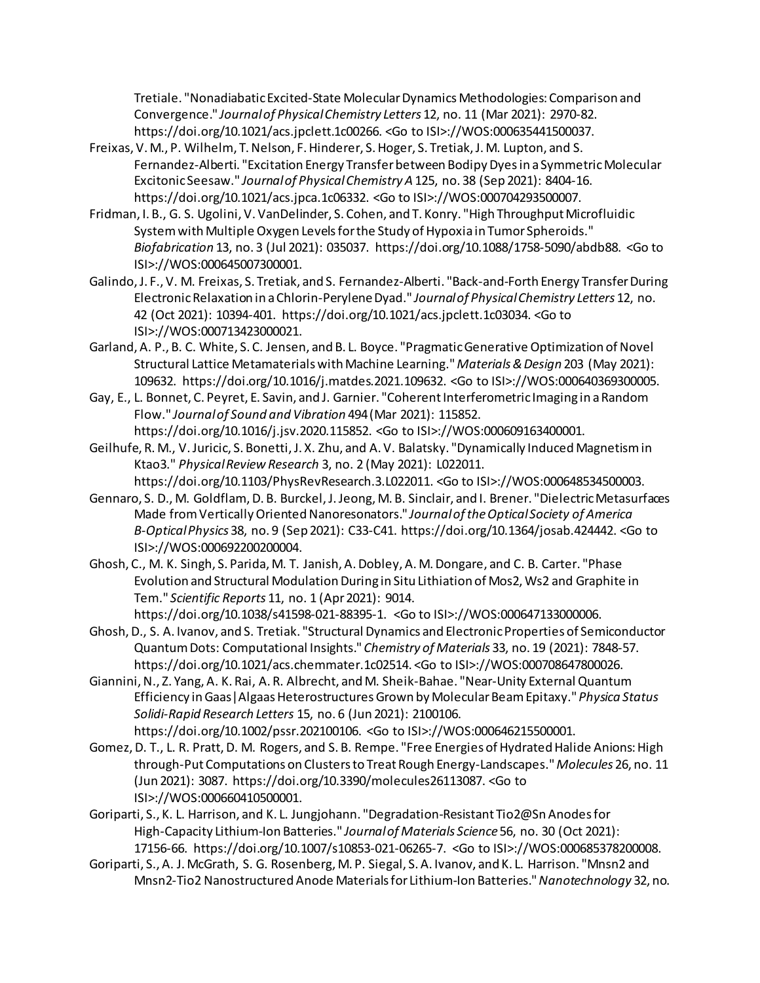Tretiale. "Nonadiabatic Excited-State Molecular Dynamics Methodologies: Comparison and Convergence." *Journal of Physical Chemistry Letters* 12, no. 11 (Mar 2021): 2970-82. https://doi.org/10.1021/acs.jpclett.1c00266. <Go to ISI>://WOS:000635441500037.

- Freixas, V. M., P. Wilhelm, T. Nelson, F. Hinderer, S. Hoger, S. Tretiak, J. M. Lupton, and S. Fernandez-Alberti. "Excitation Energy Transfer between Bodipy Dyes in a Symmetric Molecular Excitonic Seesaw." *Journal of Physical Chemistry A* 125, no. 38 (Sep 2021): 8404-16. https://doi.org/10.1021/acs.jpca.1c06332. <Go to ISI>://WOS:000704293500007.
- Fridman, I. B., G. S. Ugolini, V. VanDelinder, S. Cohen, and T. Konry. "High Throughput Microfluidic System with Multiple Oxygen Levels for the Study of Hypoxia in Tumor Spheroids." *Biofabrication* 13, no. 3 (Jul 2021): 035037. https://doi.org/10.1088/1758-5090/abdb88. <Go to ISI>://WOS:000645007300001.
- Galindo, J. F., V. M. Freixas, S. Tretiak, and S. Fernandez-Alberti. "Back-and-Forth Energy Transfer During Electronic Relaxation in a Chlorin-Perylene Dyad." *Journal of Physical Chemistry Letters* 12, no. 42 (Oct 2021): 10394-401. https://doi.org/10.1021/acs.jpclett.1c03034. <Go to ISI>://WOS:000713423000021.
- Garland, A. P., B. C. White, S. C. Jensen, and B. L. Boyce. "Pragmatic Generative Optimization of Novel Structural Lattice Metamaterials with Machine Learning." *Materials & Design* 203 (May 2021): 109632. https://doi.org/10.1016/j.matdes.2021.109632. <Go to ISI>://WOS:000640369300005.
- Gay, E., L. Bonnet, C. Peyret, E. Savin, and J. Garnier. "Coherent Interferometric Imaging in a Random Flow." *Journal of Sound and Vibration* 494 (Mar 2021): 115852. https://doi.org/10.1016/j.jsv.2020.115852. <Go to ISI>://WOS:000609163400001.
- Geilhufe, R. M., V. Juricic, S. Bonetti, J. X. Zhu, and A. V. Balatsky. "Dynamically Induced Magnetism in Ktao3." *Physical Review Research* 3, no. 2 (May 2021): L022011. https://doi.org/10.1103/PhysRevResearch.3.L022011. <Go to ISI>://WOS:000648534500003.
- Gennaro, S. D., M. Goldflam, D. B. Burckel, J. Jeong, M. B. Sinclair, and I. Brener. "Dielectric Metasurfaces Made from Vertically Oriented Nanoresonators." *Journal of the Optical Society of America B-Optical Physics* 38, no. 9 (Sep 2021): C33-C41. https://doi.org/10.1364/josab.424442. <Go to ISI>://WOS:000692200200004.
- Ghosh, C., M. K. Singh, S. Parida, M. T. Janish, A. Dobley, A. M. Dongare, and C. B. Carter. "Phase Evolution and Structural Modulation During in Situ Lithiation of Mos2, Ws2 and Graphite in Tem." *Scientific Reports* 11, no. 1 (Apr 2021): 9014. https://doi.org/10.1038/s41598-021-88395-1. <Go to ISI>://WOS:000647133000006.
- Ghosh, D., S. A. Ivanov, and S. Tretiak. "Structural Dynamics and Electronic Properties of Semiconductor Quantum Dots: Computational Insights." *Chemistry of Materials* 33, no. 19 (2021): 7848-57. https://doi.org/10.1021/acs.chemmater.1c02514. <Go to ISI>://WOS:000708647800026.
- Giannini, N., Z. Yang, A. K. Rai, A. R. Albrecht, and M. Sheik-Bahae. "Near-Unity External Quantum Efficiency in Gaas|Algaas Heterostructures Grown by Molecular Beam Epitaxy." *Physica Status Solidi-Rapid Research Letters* 15, no. 6 (Jun 2021): 2100106. https://doi.org/10.1002/pssr.202100106. <Go to ISI>://WOS:000646215500001.
- Gomez, D. T., L. R. Pratt, D. M. Rogers, and S. B. Rempe. "Free Energies of Hydrated Halide Anions: High through-Put Computations on Clusters to Treat Rough Energy-Landscapes." *Molecules* 26, no. 11 (Jun 2021): 3087. https://doi.org/10.3390/molecules26113087. <Go to ISI>://WOS:000660410500001.
- Goriparti, S., K. L. Harrison, and K. L. Jungjohann. "Degradation-Resistant Tio2@Sn Anodes for High-Capacity Lithium-Ion Batteries." *Journal of Materials Science* 56, no. 30 (Oct 2021): 17156-66. https://doi.org/10.1007/s10853-021-06265-7. <Go to ISI>://WOS:000685378200008.
- Goriparti, S., A. J. McGrath, S. G. Rosenberg, M. P. Siegal, S. A. Ivanov, and K. L. Harrison. "Mnsn2 and Mnsn2-Tio2 Nanostructured Anode Materials for Lithium-Ion Batteries." *Nanotechnology* 32, no.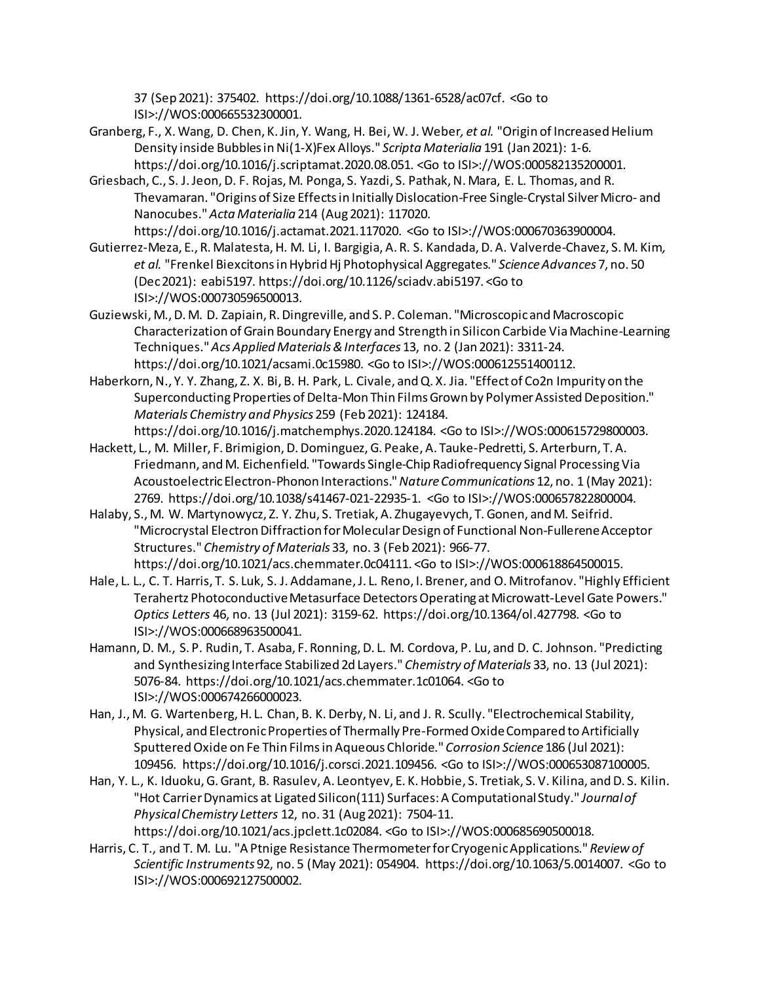37 (Sep 2021): 375402. https://doi.org/10.1088/1361-6528/ac07cf. <Go to ISI>://WOS:000665532300001.

- Granberg, F., X. Wang, D. Chen, K. Jin, Y. Wang, H. Bei, W. J. Weber*, et al.* "Origin of Increased Helium Density inside Bubbles in Ni(1-X)Fex Alloys." *Scripta Materialia* 191 (Jan 2021): 1-6. https://doi.org/10.1016/j.scriptamat.2020.08.051. <Go to ISI>://WOS:000582135200001.
- Griesbach, C., S. J. Jeon, D. F. Rojas, M. Ponga, S. Yazdi, S. Pathak, N. Mara, E. L. Thomas, and R. Thevamaran. "Origins of Size Effects in Initially Dislocation-Free Single-Crystal Silver Micro- and Nanocubes." *Acta Materialia* 214 (Aug 2021): 117020.
- https://doi.org/10.1016/j.actamat.2021.117020. <Go to ISI>://WOS:000670363900004. Gutierrez-Meza, E., R. Malatesta, H. M. Li, I. Bargigia, A. R. S. Kandada, D. A. Valverde-Chavez, S. M. Kim*, et al.* "Frenkel Biexcitons in Hybrid Hj Photophysical Aggregates." *Science Advances* 7, no. 50 (Dec 2021): eabi5197. https://doi.org/10.1126/sciadv.abi5197. <Go to ISI>://WOS:000730596500013.
- Guziewski, M., D. M. D. Zapiain, R. Dingreville, and S. P. Coleman. "Microscopic and Macroscopic Characterization of Grain Boundary Energy and Strength in Silicon Carbide Via Machine-Learning Techniques." *Acs Applied Materials & Interfaces* 13, no. 2 (Jan 2021): 3311-24. https://doi.org/10.1021/acsami.0c15980. <Go to ISI>://WOS:000612551400112.
- Haberkorn, N., Y. Y. Zhang, Z. X. Bi, B. H. Park, L. Civale, and Q. X. Jia. "Effect of Co2n Impurity on the Superconducting Properties of Delta-Mon Thin Films Grown by Polymer Assisted Deposition." *Materials Chemistry and Physics* 259 (Feb 2021): 124184.

```
https://doi.org/10.1016/j.matchemphys.2020.124184. <Go to ISI>://WOS:000615729800003.
```
- Hackett, L., M. Miller, F. Brimigion, D. Dominguez, G. Peake, A. Tauke-Pedretti, S. Arterburn, T. A. Friedmann, and M. Eichenfield. "Towards Single-Chip Radiofrequency Signal Processing Via Acoustoelectric Electron-Phonon Interactions." *Nature Communications* 12, no. 1 (May 2021): 2769. https://doi.org/10.1038/s41467-021-22935-1. <Go to ISI>://WOS:000657822800004.
- Halaby, S., M. W. Martynowycz, Z. Y. Zhu, S. Tretiak, A. Zhugayevych, T. Gonen, and M. Seifrid. "Microcrystal Electron Diffraction for Molecular Design of Functional Non-Fullerene Acceptor Structures." *Chemistry of Materials* 33, no. 3 (Feb 2021): 966-77. https://doi.org/10.1021/acs.chemmater.0c04111. <Go to ISI>://WOS:000618864500015.
- Hale, L. L., C. T. Harris, T. S. Luk, S. J. Addamane, J. L. Reno, I. Brener, and O. Mitrofanov. "Highly Efficient Terahertz Photoconductive Metasurface Detectors Operating at Microwatt-Level Gate Powers." *Optics Letters* 46, no. 13 (Jul 2021): 3159-62. https://doi.org/10.1364/ol.427798. <Go to ISI>://WOS:000668963500041.
- Hamann, D. M., S. P. Rudin, T. Asaba, F. Ronning, D. L. M. Cordova, P. Lu, and D. C. Johnson. "Predicting and Synthesizing Interface Stabilized 2d Layers." *Chemistry of Materials* 33, no. 13 (Jul 2021): 5076-84. https://doi.org/10.1021/acs.chemmater.1c01064. <Go to ISI>://WOS:000674266000023.
- Han, J., M. G. Wartenberg, H. L. Chan, B. K. Derby, N. Li, and J. R. Scully. "Electrochemical Stability, Physical, and Electronic Properties of Thermally Pre-Formed Oxide Compared to Artificially Sputtered Oxide on Fe Thin Films in Aqueous Chloride." *Corrosion Science* 186 (Jul 2021): 109456. https://doi.org/10.1016/j.corsci.2021.109456. <Go to ISI>://WOS:000653087100005.
- Han, Y. L., K. Iduoku, G. Grant, B. Rasulev, A. Leontyev, E. K. Hobbie, S. Tretiak, S. V. Kilina, and D. S. Kilin. "Hot Carrier Dynamics at Ligated Silicon(111) Surfaces: A Computational Study." *Journal of Physical Chemistry Letters* 12, no. 31 (Aug 2021): 7504-11. https://doi.org/10.1021/acs.jpclett.1c02084. <Go to ISI>://WOS:000685690500018.
- Harris, C. T., and T. M. Lu. "A Ptnige Resistance Thermometer for Cryogenic Applications." *Review of Scientific Instruments* 92, no. 5 (May 2021): 054904. https://doi.org/10.1063/5.0014007. <Go to ISI>://WOS:000692127500002.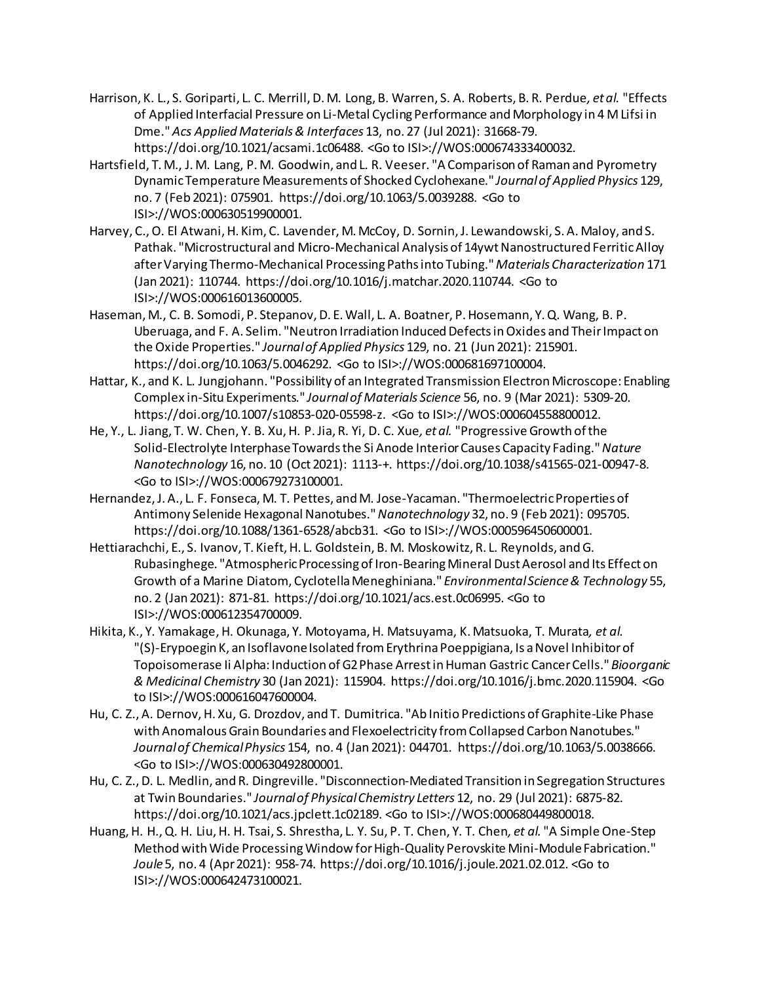- Harrison, K. L., S. Goriparti, L. C. Merrill, D. M. Long, B. Warren, S. A. Roberts, B. R. Perdue*, et al.* "Effects of Applied Interfacial Pressure on Li-Metal Cycling Performance and Morphology in 4 M Lifsi in Dme." *Acs Applied Materials & Interfaces* 13, no. 27 (Jul 2021): 31668-79. https://doi.org/10.1021/acsami.1c06488. <Go to ISI>://WOS:000674333400032.
- Hartsfield, T. M., J. M. Lang, P. M. Goodwin, and L. R. Veeser. "A Comparison of Raman and Pyrometry Dynamic Temperature Measurements of Shocked Cyclohexane." *Journal of Applied Physics* 129, no. 7 (Feb 2021): 075901. https://doi.org/10.1063/5.0039288. <Go to ISI>://WOS:000630519900001.
- Harvey, C., O. El Atwani, H. Kim, C. Lavender, M. McCoy, D. Sornin, J. Lewandowski, S. A. Maloy, and S. Pathak. "Microstructural and Micro-Mechanical Analysis of 14ywt Nanostructured Ferritic Alloy after Varying Thermo-Mechanical Processing Paths into Tubing." *Materials Characterization* 171 (Jan 2021): 110744. https://doi.org/10.1016/j.matchar.2020.110744. <Go to ISI>://WOS:000616013600005.
- Haseman, M., C. B. Somodi, P. Stepanov, D. E. Wall, L. A. Boatner, P. Hosemann, Y. Q. Wang, B. P. Uberuaga, and F. A. Selim. "Neutron Irradiation Induced Defects in Oxides and Their Impact on the Oxide Properties." *Journal of Applied Physics* 129, no. 21 (Jun 2021): 215901. https://doi.org/10.1063/5.0046292. <Go to ISI>://WOS:000681697100004.
- Hattar, K., and K. L. Jungjohann. "Possibility of an Integrated Transmission Electron Microscope: Enabling Complex in-Situ Experiments." *Journal of Materials Science* 56, no. 9 (Mar 2021): 5309-20. https://doi.org/10.1007/s10853-020-05598-z. <Go to ISI>://WOS:000604558800012.
- He, Y., L. Jiang, T. W. Chen, Y. B. Xu, H. P. Jia, R. Yi, D. C. Xue*, et al.* "Progressive Growth of the Solid-Electrolyte Interphase Towards the Si Anode Interior Causes Capacity Fading." *Nature Nanotechnology* 16, no. 10 (Oct 2021): 1113-+. https://doi.org/10.1038/s41565-021-00947-8. <Go to ISI>://WOS:000679273100001.
- Hernandez, J. A., L. F. Fonseca, M. T. Pettes, and M. Jose-Yacaman. "Thermoelectric Properties of Antimony Selenide Hexagonal Nanotubes." *Nanotechnology* 32, no. 9 (Feb 2021): 095705. https://doi.org/10.1088/1361-6528/abcb31. <Go to ISI>://WOS:000596450600001.
- Hettiarachchi, E., S. Ivanov, T. Kieft, H. L. Goldstein, B. M. Moskowitz, R. L. Reynolds, and G. Rubasinghege. "Atmospheric Processing of Iron-Bearing Mineral Dust Aerosol and Its Effect on Growth of a Marine Diatom, Cyclotella Meneghiniana." *Environmental Science & Technology* 55, no. 2 (Jan 2021): 871-81. https://doi.org/10.1021/acs.est.0c06995. <Go to ISI>://WOS:000612354700009.
- Hikita, K., Y. Yamakage, H. Okunaga, Y. Motoyama, H. Matsuyama, K. Matsuoka, T. Murata*, et al.* "(S)-Erypoegin K, an Isoflavone Isolated from Erythrina Poeppigiana, Is a Novel Inhibitor of Topoisomerase Ii Alpha: Induction of G2 Phase Arrest in Human Gastric Cancer Cells." *Bioorganic & Medicinal Chemistry* 30 (Jan 2021): 115904. https://doi.org/10.1016/j.bmc.2020.115904. <Go to ISI>://WOS:000616047600004.
- Hu, C. Z., A. Dernov, H. Xu, G. Drozdov, and T. Dumitrica. "Ab Initio Predictions of Graphite-Like Phase with Anomalous Grain Boundaries and Flexoelectricity from Collapsed Carbon Nanotubes." *Journal of Chemical Physics* 154, no. 4 (Jan 2021): 044701. https://doi.org/10.1063/5.0038666. <Go to ISI>://WOS:000630492800001.
- Hu, C. Z., D. L. Medlin, and R. Dingreville. "Disconnection-Mediated Transition in Segregation Structures at Twin Boundaries." *Journal of Physical Chemistry Letters* 12, no. 29 (Jul 2021): 6875-82. https://doi.org/10.1021/acs.jpclett.1c02189. <Go to ISI>://WOS:000680449800018.
- Huang, H. H., Q. H. Liu, H. H. Tsai, S. Shrestha, L. Y. Su, P. T. Chen, Y. T. Chen*, et al.* "A Simple One-Step Method with Wide Processing Window for High-Quality Perovskite Mini-Module Fabrication." *Joule* 5, no. 4 (Apr 2021): 958-74. https://doi.org/10.1016/j.joule.2021.02.012. <Go to ISI>://WOS:000642473100021.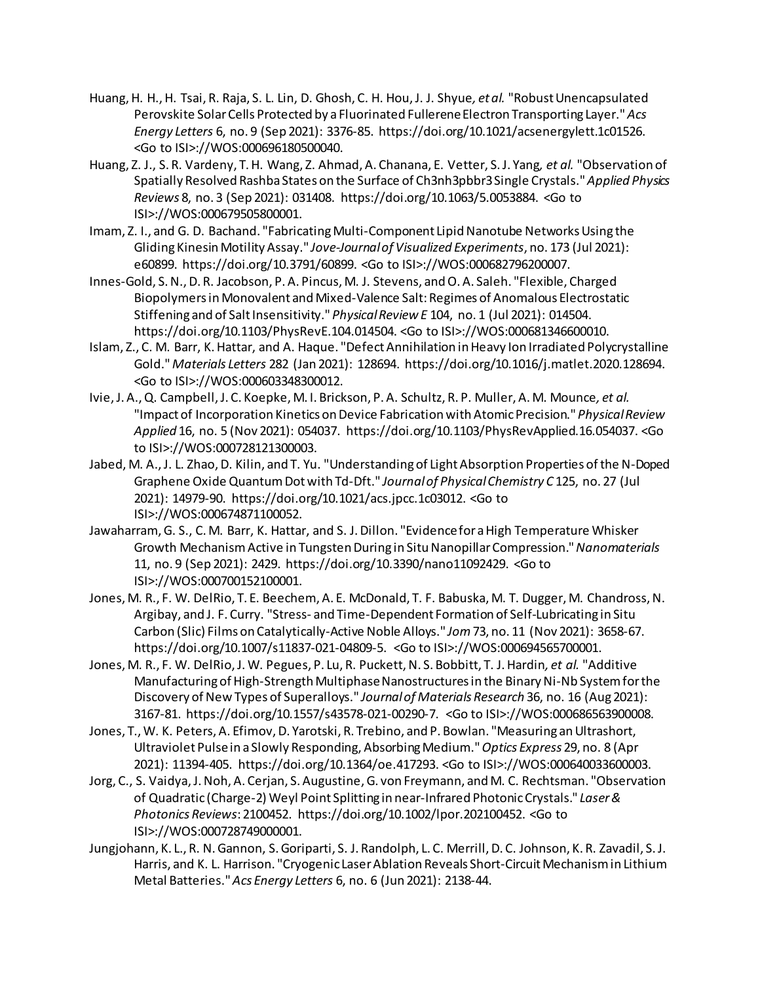- Huang, H. H., H. Tsai, R. Raja, S. L. Lin, D. Ghosh, C. H. Hou, J. J. Shyue*, et al.* "Robust Unencapsulated Perovskite Solar Cells Protected by a Fluorinated Fullerene Electron Transporting Layer." *Acs Energy Letters* 6, no. 9 (Sep 2021): 3376-85. https://doi.org/10.1021/acsenergylett.1c01526. <Go to ISI>://WOS:000696180500040.
- Huang, Z. J., S. R. Vardeny, T. H. Wang, Z. Ahmad, A. Chanana, E. Vetter, S. J. Yang*, et al.* "Observation of Spatially Resolved Rashba States on the Surface of Ch3nh3pbbr3 Single Crystals." *Applied Physics Reviews* 8, no. 3 (Sep 2021): 031408. https://doi.org/10.1063/5.0053884. <Go to ISI>://WOS:000679505800001.
- Imam, Z. I., and G. D. Bachand. "Fabricating Multi-Component Lipid Nanotube Networks Using the Gliding Kinesin Motility Assay." *Jove-Journal of Visualized Experiments*, no. 173 (Jul 2021): e60899. https://doi.org/10.3791/60899. <Go to ISI>://WOS:000682796200007.
- Innes-Gold, S. N., D. R. Jacobson, P. A. Pincus, M. J. Stevens, and O. A. Saleh. "Flexible, Charged Biopolymers in Monovalent and Mixed-Valence Salt: Regimes of Anomalous Electrostatic Stiffening and of Salt Insensitivity." *Physical Review E* 104, no. 1 (Jul 2021): 014504. https://doi.org/10.1103/PhysRevE.104.014504. <Go to ISI>://WOS:000681346600010.
- Islam, Z., C. M. Barr, K. Hattar, and A. Haque. "Defect Annihilation in Heavy Ion Irradiated Polycrystalline Gold." *Materials Letters* 282 (Jan 2021): 128694. https://doi.org/10.1016/j.matlet.2020.128694. <Go to ISI>://WOS:000603348300012.
- Ivie, J. A., Q. Campbell, J. C. Koepke, M. I. Brickson, P. A. Schultz, R. P. Muller, A. M. Mounce*, et al.* "Impact of Incorporation Kinetics on Device Fabrication with Atomic Precision." *Physical Review Applied* 16, no. 5 (Nov 2021): 054037. https://doi.org/10.1103/PhysRevApplied.16.054037. <Go to ISI>://WOS:000728121300003.
- Jabed, M. A., J. L. Zhao, D. Kilin, and T. Yu. "Understanding of Light Absorption Properties of the N-Doped Graphene Oxide Quantum Dot with Td-Dft." *Journal of Physical Chemistry C* 125, no. 27 (Jul 2021): 14979-90. https://doi.org/10.1021/acs.jpcc.1c03012. <Go to ISI>://WOS:000674871100052.
- Jawaharram, G. S., C. M. Barr, K. Hattar, and S. J. Dillon. "Evidence for a High Temperature Whisker Growth Mechanism Active in Tungsten During in Situ Nanopillar Compression." *Nanomaterials* 11, no. 9 (Sep 2021): 2429. https://doi.org/10.3390/nano11092429. <Go to ISI>://WOS:000700152100001.
- Jones, M. R., F. W. DelRio, T. E. Beechem, A. E. McDonald, T. F. Babuska, M. T. Dugger, M. Chandross, N. Argibay, and J. F. Curry. "Stress- and Time-Dependent Formation of Self-Lubricating in Situ Carbon (Slic) Films on Catalytically-Active Noble Alloys." *Jom* 73, no. 11 (Nov 2021): 3658-67. https://doi.org/10.1007/s11837-021-04809-5. <Go to ISI>://WOS:000694565700001.
- Jones, M. R., F. W. DelRio, J. W. Pegues, P. Lu, R. Puckett, N. S. Bobbitt, T. J. Hardin*, et al.* "Additive Manufacturing of High-Strength Multiphase Nanostructures in the Binary Ni-Nb System for the Discovery of New Types of Superalloys." *Journal of Materials Research* 36, no. 16 (Aug 2021): 3167-81. https://doi.org/10.1557/s43578-021-00290-7. <Go to ISI>://WOS:000686563900008.
- Jones, T., W. K. Peters, A. Efimov, D. Yarotski, R. Trebino, and P. Bowlan. "Measuring an Ultrashort, Ultraviolet Pulse in a Slowly Responding, Absorbing Medium." *Optics Express* 29, no. 8 (Apr 2021): 11394-405. https://doi.org/10.1364/oe.417293. <Go to ISI>://WOS:000640033600003.
- Jorg, C., S. Vaidya, J. Noh, A. Cerjan, S. Augustine, G. von Freymann, and M. C. Rechtsman. "Observation of Quadratic (Charge-2) Weyl Point Splitting in near-Infrared Photonic Crystals." *Laser & Photonics Reviews*: 2100452. https://doi.org/10.1002/lpor.202100452. <Go to ISI>://WOS:000728749000001.
- Jungjohann, K. L., R. N. Gannon, S. Goriparti, S. J. Randolph, L. C. Merrill, D. C. Johnson, K. R. Zavadil, S. J. Harris, and K. L. Harrison. "Cryogenic Laser Ablation Reveals Short-Circuit Mechanism in Lithium Metal Batteries." *Acs Energy Letters* 6, no. 6 (Jun 2021): 2138-44.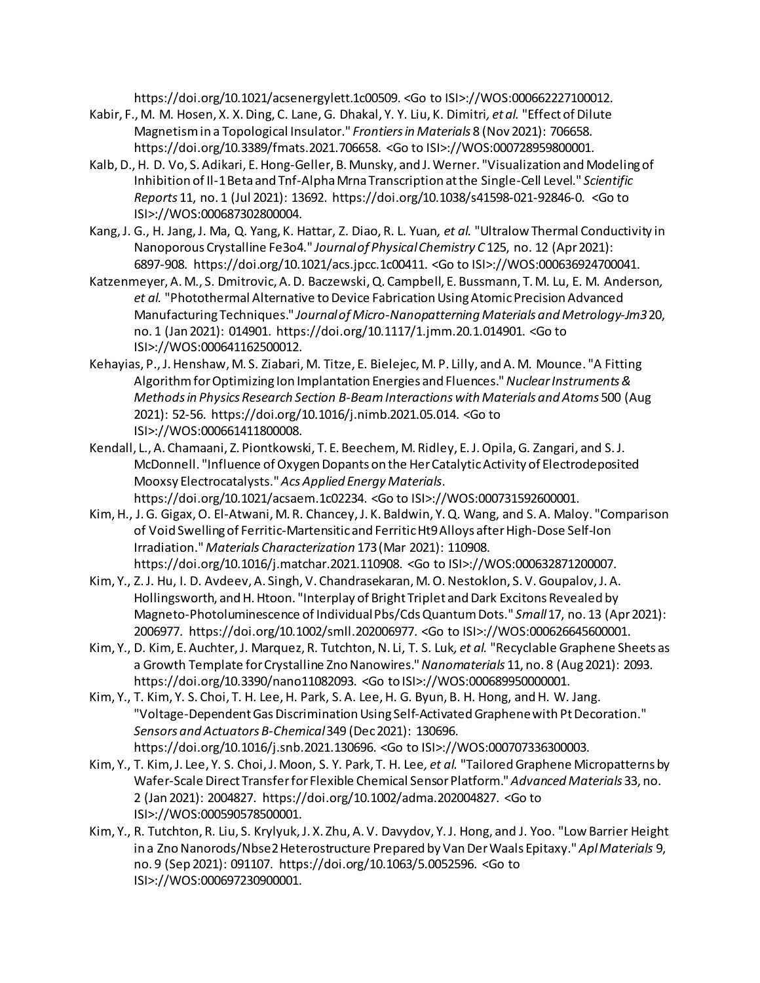https://doi.org/10.1021/acsenergylett.1c00509. <Go to ISI>://WOS:000662227100012.

- Kabir, F., M. M. Hosen, X. X. Ding, C. Lane, G. Dhakal, Y. Y. Liu, K. Dimitri*, et al.* "Effect of Dilute Magnetism in a Topological Insulator." *Frontiers in Materials* 8 (Nov 2021): 706658. https://doi.org/10.3389/fmats.2021.706658. <Go to ISI>://WOS:000728959800001.
- Kalb, D., H. D. Vo, S. Adikari, E. Hong-Geller, B. Munsky, and J. Werner. "Visualization and Modeling of Inhibition of Il-1 Beta and Tnf-Alpha Mrna Transcription at the Single-Cell Level." *Scientific Reports* 11, no. 1 (Jul 2021): 13692. https://doi.org/10.1038/s41598-021-92846-0. <Go to ISI>://WOS:000687302800004.
- Kang, J. G., H. Jang, J. Ma, Q. Yang, K. Hattar, Z. Diao, R. L. Yuan*, et al.* "Ultralow Thermal Conductivity in Nanoporous Crystalline Fe3o4." *Journal of Physical Chemistry C* 125, no. 12 (Apr 2021): 6897-908. https://doi.org/10.1021/acs.jpcc.1c00411. <Go to ISI>://WOS:000636924700041.
- Katzenmeyer, A. M., S. Dmitrovic, A. D. Baczewski, Q. Campbell, E. Bussmann, T. M. Lu, E. M. Anderson*, et al.* "Photothermal Alternative to Device Fabrication Using Atomic Precision Advanced Manufacturing Techniques." *Journal of Micro-Nanopatterning Materials and Metrology-Jm3* 20, no. 1 (Jan 2021): 014901. https://doi.org/10.1117/1.jmm.20.1.014901. <Go to ISI>://WOS:000641162500012.
- Kehayias, P., J. Henshaw, M. S. Ziabari, M. Titze, E. Bielejec, M. P. Lilly, and A. M. Mounce. "A Fitting Algorithm for Optimizing Ion Implantation Energies and Fluences." *Nuclear Instruments & Methods in Physics Research Section B-Beam Interactions with Materials and Atoms* 500 (Aug 2021): 52-56. https://doi.org/10.1016/j.nimb.2021.05.014. <Go to ISI>://WOS:000661411800008.
- Kendall, L., A. Chamaani, Z. Piontkowski, T. E. Beechem, M. Ridley, E. J. Opila, G. Zangari, and S. J. McDonnell. "Influence of Oxygen Dopants on the Her Catalytic Activity of Electrodeposited Mooxsy Electrocatalysts." *Acs Applied Energy Materials*. https://doi.org/10.1021/acsaem.1c02234. <Go to ISI>://WOS:000731592600001.
- Kim, H., J. G. Gigax, O. El-Atwani, M. R. Chancey, J. K. Baldwin, Y. Q. Wang, and S. A. Maloy. "Comparison of Void Swelling of Ferritic-Martensitic and Ferritic Ht9 Alloys after High-Dose Self-Ion Irradiation." *Materials Characterization* 173 (Mar 2021): 110908. https://doi.org/10.1016/j.matchar.2021.110908. <Go to ISI>://WOS:000632871200007.
- Kim, Y., Z. J. Hu, I. D. Avdeev, A. Singh, V. Chandrasekaran, M. O. Nestoklon, S. V. Goupalov, J. A. Hollingsworth, and H. Htoon. "Interplay of Bright Triplet and Dark Excitons Revealed by Magneto-Photoluminescence of Individual Pbs/Cds Quantum Dots." *Small* 17, no. 13 (Apr 2021): 2006977. https://doi.org/10.1002/smll.202006977. <Go to ISI>://WOS:000626645600001.
- Kim, Y., D. Kim, E. Auchter, J. Marquez, R. Tutchton, N. Li, T. S. Luk*, et al.* "Recyclable Graphene Sheets as a Growth Template for Crystalline Zno Nanowires." *Nanomaterials* 11, no. 8 (Aug 2021): 2093. https://doi.org/10.3390/nano11082093. <Go to ISI>://WOS:000689950000001.
- Kim, Y., T. Kim, Y. S. Choi, T. H. Lee, H. Park, S. A. Lee, H. G. Byun, B. H. Hong, and H. W. Jang. "Voltage-Dependent Gas Discrimination Using Self-Activated Graphene with Pt Decoration." *Sensors and Actuators B-Chemical* 349 (Dec 2021): 130696. https://doi.org/10.1016/j.snb.2021.130696. <Go to ISI>://WOS:000707336300003.
- Kim, Y., T. Kim, J. Lee, Y. S. Choi, J. Moon, S. Y. Park, T. H. Lee*, et al.* "Tailored Graphene Micropatterns by Wafer-Scale Direct Transfer for Flexible Chemical Sensor Platform." *Advanced Materials* 33, no. 2 (Jan 2021): 2004827. https://doi.org/10.1002/adma.202004827. <Go to ISI>://WOS:000590578500001.
- Kim, Y., R. Tutchton, R. Liu, S. Krylyuk, J. X. Zhu, A. V. Davydov, Y. J. Hong, and J. Yoo. "Low Barrier Height in a Zno Nanorods/Nbse2 Heterostructure Prepared by Van Der Waals Epitaxy." *Apl Materials* 9, no. 9 (Sep 2021): 091107. https://doi.org/10.1063/5.0052596. <Go to ISI>://WOS:000697230900001.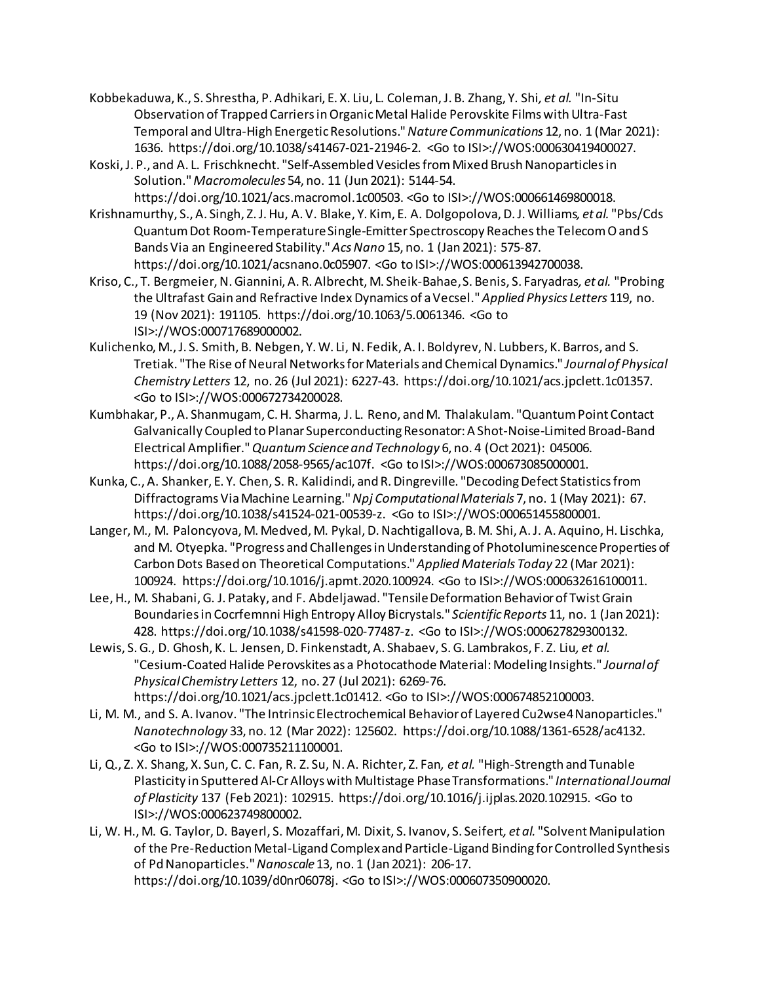- Kobbekaduwa, K., S. Shrestha, P. Adhikari, E. X. Liu, L. Coleman, J. B. Zhang, Y. Shi*, et al.* "In-Situ Observation of Trapped Carriers in Organic Metal Halide Perovskite Films with Ultra-Fast Temporal and Ultra-High Energetic Resolutions." *Nature Communications* 12, no. 1 (Mar 2021): 1636. https://doi.org/10.1038/s41467-021-21946-2. <Go to ISI>://WOS:000630419400027.
- Koski, J. P., and A. L. Frischknecht. "Self-Assembled Vesicles from Mixed Brush Nanoparticles in Solution." *Macromolecules* 54, no. 11 (Jun 2021): 5144-54. https://doi.org/10.1021/acs.macromol.1c00503. <Go to ISI>://WOS:000661469800018.
- Krishnamurthy, S., A. Singh, Z. J. Hu, A. V. Blake, Y. Kim, E. A. Dolgopolova, D. J. Williams*, et al.* "Pbs/Cds Quantum Dot Room-Temperature Single-Emitter Spectroscopy Reaches the Telecom O and S Bands Via an Engineered Stability." *Acs Nano* 15, no. 1 (Jan 2021): 575-87. https://doi.org/10.1021/acsnano.0c05907. <Go to ISI>://WOS:000613942700038.
- Kriso, C., T. Bergmeier, N. Giannini, A. R. Albrecht, M. Sheik-Bahae, S. Benis, S. Faryadras*, et al.* "Probing the Ultrafast Gain and Refractive Index Dynamics of a Vecsel." *Applied Physics Letters* 119, no. 19 (Nov 2021): 191105. https://doi.org/10.1063/5.0061346. <Go to ISI>://WOS:000717689000002.
- Kulichenko, M., J. S. Smith, B. Nebgen, Y. W. Li, N. Fedik, A. I. Boldyrev, N. Lubbers, K. Barros, and S. Tretiak. "The Rise of Neural Networks for Materials and Chemical Dynamics." *Journal of Physical Chemistry Letters* 12, no. 26 (Jul 2021): 6227-43. https://doi.org/10.1021/acs.jpclett.1c01357. <Go to ISI>://WOS:000672734200028.
- Kumbhakar, P., A. Shanmugam, C. H. Sharma, J. L. Reno, and M. Thalakulam. "Quantum Point Contact Galvanically Coupled to Planar Superconducting Resonator: A Shot-Noise-Limited Broad-Band Electrical Amplifier." *Quantum Science and Technology* 6, no. 4 (Oct 2021): 045006. https://doi.org/10.1088/2058-9565/ac107f. <Go to ISI>://WOS:000673085000001.
- Kunka, C., A. Shanker, E. Y. Chen, S. R. Kalidindi, and R. Dingreville. "Decoding Defect Statistics from Diffractograms Via Machine Learning." *Npj Computational Materials* 7, no. 1 (May 2021): 67. https://doi.org/10.1038/s41524-021-00539-z. <Go to ISI>://WOS:000651455800001.
- Langer, M., M. Paloncyova, M. Medved, M. Pykal, D. Nachtigallova, B. M. Shi, A. J. A. Aquino, H. Lischka, and M. Otyepka. "Progress and Challenges in Understanding of Photoluminescence Properties of Carbon Dots Based on Theoretical Computations." *Applied Materials Today* 22 (Mar 2021): 100924. https://doi.org/10.1016/j.apmt.2020.100924. <Go to ISI>://WOS:000632616100011.
- Lee, H., M. Shabani, G. J. Pataky, and F. Abdeljawad. "Tensile Deformation Behavior of Twist Grain Boundaries in Cocrfemnni High Entropy Alloy Bicrystals." *Scientific Reports* 11, no. 1 (Jan 2021): 428. https://doi.org/10.1038/s41598-020-77487-z. <Go to ISI>://WOS:000627829300132.
- Lewis, S. G., D. Ghosh, K. L. Jensen, D. Finkenstadt, A. Shabaev, S. G. Lambrakos, F. Z. Liu*, et al.* "Cesium-Coated Halide Perovskites as a Photocathode Material: Modeling Insights." *Journal of Physical Chemistry Letters* 12, no. 27 (Jul 2021): 6269-76. https://doi.org/10.1021/acs.jpclett.1c01412. <Go to ISI>://WOS:000674852100003.
- Li, M. M., and S. A. Ivanov. "The Intrinsic Electrochemical Behavior of Layered Cu2wse4 Nanoparticles." *Nanotechnology* 33, no. 12 (Mar 2022): 125602. https://doi.org/10.1088/1361-6528/ac4132. <Go to ISI>://WOS:000735211100001.
- Li, Q., Z. X. Shang, X. Sun, C. C. Fan, R. Z. Su, N. A. Richter, Z. Fan*, et al.* "High-Strength and Tunable Plasticity in Sputtered Al-Cr Alloys with Multistage Phase Transformations." *International Journal of Plasticity* 137 (Feb 2021): 102915. https://doi.org/10.1016/j.ijplas.2020.102915. <Go to ISI>://WOS:000623749800002.
- Li, W. H., M. G. Taylor, D. Bayerl, S. Mozaffari, M. Dixit, S. Ivanov, S. Seifert*, et al.* "Solvent Manipulation of the Pre-Reduction Metal-Ligand Complex and Particle-Ligand Binding for Controlled Synthesis of Pd Nanoparticles." *Nanoscale* 13, no. 1 (Jan 2021): 206-17. https://doi.org/10.1039/d0nr06078j. <Go to ISI>://WOS:000607350900020.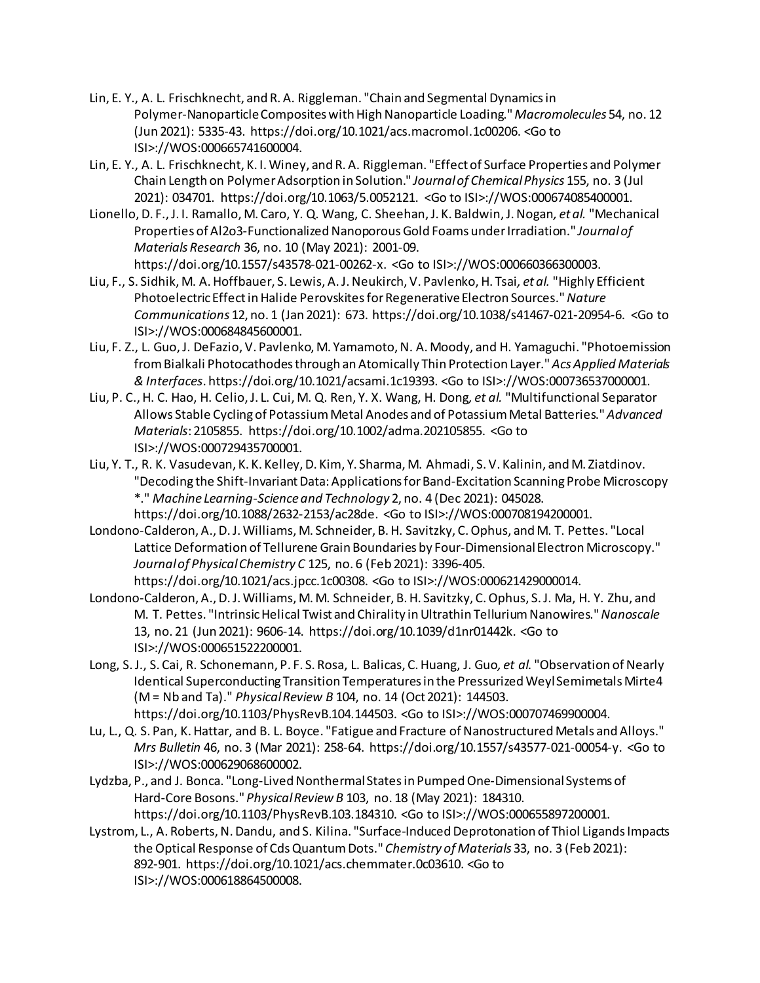- Lin, E. Y., A. L. Frischknecht, and R. A. Riggleman. "Chain and Segmental Dynamics in Polymer-NanoparticleComposites with High Nanoparticle Loading." *Macromolecules* 54, no. 12 (Jun 2021): 5335-43. https://doi.org/10.1021/acs.macromol.1c00206. <Go to ISI>://WOS:000665741600004.
- Lin, E. Y., A. L. Frischknecht, K. I. Winey, and R. A. Riggleman. "Effect of Surface Properties and Polymer Chain Length on Polymer Adsorption in Solution." *Journal of Chemical Physics* 155, no. 3 (Jul 2021): 034701. https://doi.org/10.1063/5.0052121. <Go to ISI>://WOS:000674085400001.
- Lionello, D. F., J. I. Ramallo, M. Caro, Y. Q. Wang, C. Sheehan, J. K. Baldwin, J. Nogan*, et al.* "Mechanical Properties of Al2o3-Functionalized Nanoporous Gold Foams under Irradiation." *Journal of Materials Research* 36, no. 10 (May 2021): 2001-09. https://doi.org/10.1557/s43578-021-00262-x. <Go to ISI>://WOS:000660366300003.
- Liu, F., S. Sidhik, M. A. Hoffbauer, S. Lewis, A. J. Neukirch, V. Pavlenko, H. Tsai*, et al.* "Highly Efficient Photoelectric Effect in Halide Perovskites for Regenerative Electron Sources." *Nature Communications* 12, no. 1 (Jan 2021): 673. https://doi.org/10.1038/s41467-021-20954-6. <Go to ISI>://WOS:000684845600001.
- Liu, F. Z., L. Guo, J. DeFazio, V. Pavlenko, M. Yamamoto, N. A. Moody, and H. Yamaguchi. "Photoemission from Bialkali Photocathodes through an Atomically Thin Protection Layer." *Acs Applied Materials & Interfaces*. https://doi.org/10.1021/acsami.1c19393. <Go to ISI>://WOS:000736537000001.
- Liu, P. C., H. C. Hao, H. Celio, J. L. Cui, M. Q. Ren, Y. X. Wang, H. Dong*, et al.* "Multifunctional Separator Allows Stable Cycling of Potassium Metal Anodes and of Potassium Metal Batteries." *Advanced Materials*: 2105855. https://doi.org/10.1002/adma.202105855. <Go to ISI>://WOS:000729435700001.
- Liu, Y. T., R. K. Vasudevan, K. K. Kelley, D. Kim, Y. Sharma, M. Ahmadi, S. V. Kalinin, and M. Ziatdinov. "Decoding the Shift-Invariant Data: Applications for Band-Excitation Scanning Probe Microscopy \*." *Machine Learning-Science and Technology* 2, no. 4 (Dec 2021): 045028. https://doi.org/10.1088/2632-2153/ac28de. <Go to ISI>://WOS:000708194200001.
- Londono-Calderon, A., D. J. Williams, M. Schneider, B. H. Savitzky, C. Ophus, and M. T. Pettes. "Local Lattice Deformation of Tellurene Grain Boundaries by Four-Dimensional Electron Microscopy." *Journal of Physical Chemistry C* 125, no. 6 (Feb 2021): 3396-405. https://doi.org/10.1021/acs.jpcc.1c00308. <Go to ISI>://WOS:000621429000014.
- Londono-Calderon, A., D. J. Williams, M. M. Schneider, B. H. Savitzky, C. Ophus, S. J. Ma, H. Y. Zhu, and M. T. Pettes. "Intrinsic Helical Twist and Chirality in Ultrathin Tellurium Nanowires." *Nanoscale*  13, no. 21 (Jun 2021): 9606-14. https://doi.org/10.1039/d1nr01442k. <Go to ISI>://WOS:000651522200001.
- Long, S. J., S. Cai, R. Schonemann, P. F. S. Rosa, L. Balicas, C. Huang, J. Guo*, et al.* "Observation of Nearly Identical Superconducting Transition Temperatures in the Pressurized Weyl Semimetals Mirte4 (M = Nb and Ta)." *Physical Review B* 104, no. 14 (Oct 2021): 144503. https://doi.org/10.1103/PhysRevB.104.144503. <Go to ISI>://WOS:000707469900004.
- Lu, L., Q. S. Pan, K. Hattar, and B. L. Boyce. "Fatigue and Fracture of Nanostructured Metals and Alloys." *Mrs Bulletin* 46, no. 3 (Mar 2021): 258-64. https://doi.org/10.1557/s43577-021-00054-y. <Go to ISI>://WOS:000629068600002.
- Lydzba, P., and J. Bonca. "Long-Lived Nonthermal States in Pumped One-Dimensional Systems of Hard-Core Bosons." *Physical Review B* 103, no. 18 (May 2021): 184310. https://doi.org/10.1103/PhysRevB.103.184310. <Go to ISI>://WOS:000655897200001.
- Lystrom, L., A. Roberts, N. Dandu, and S. Kilina. "Surface-Induced Deprotonation of Thiol Ligands Impacts the Optical Response of Cds Quantum Dots." *Chemistry of Materials* 33, no. 3 (Feb 2021): 892-901. https://doi.org/10.1021/acs.chemmater.0c03610. <Go to ISI>://WOS:000618864500008.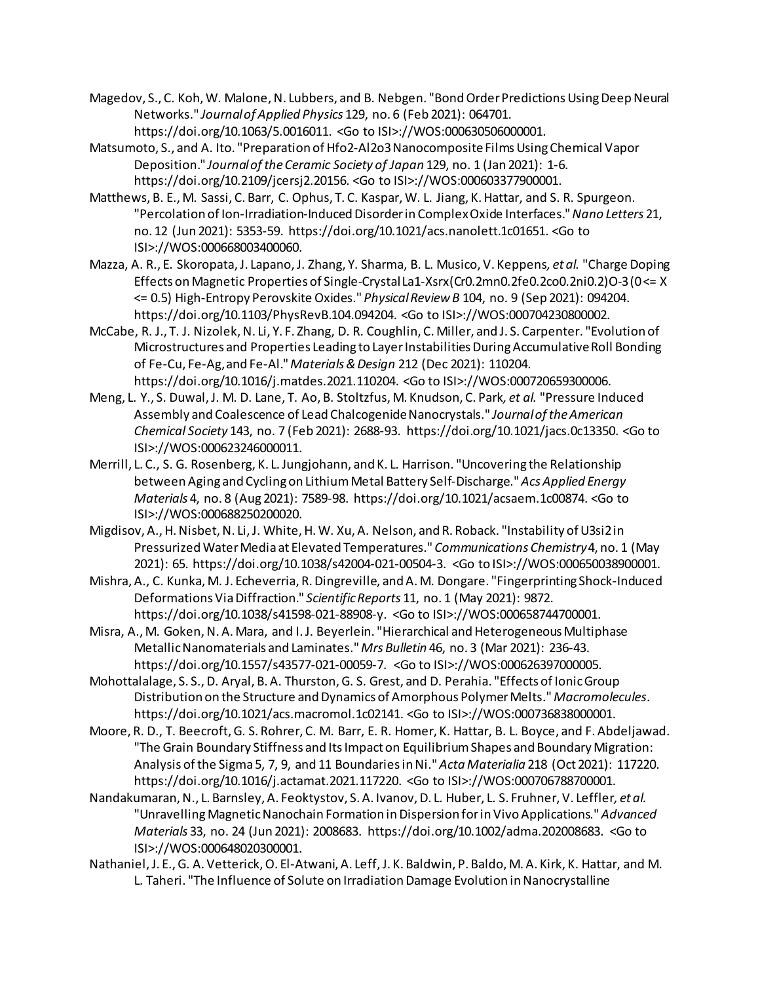- Magedov, S., C. Koh, W. Malone, N. Lubbers, and B. Nebgen. "Bond Order Predictions Using Deep Neural Networks." *Journal of Applied Physics* 129, no. 6 (Feb 2021): 064701. https://doi.org/10.1063/5.0016011. <Go to ISI>://WOS:000630506000001.
- Matsumoto, S., and A. Ito. "Preparation of Hfo2-Al2o3 Nanocomposite Films Using Chemical Vapor Deposition." *Journal of the Ceramic Society of Japan* 129, no. 1 (Jan 2021): 1-6. https://doi.org/10.2109/jcersj2.20156. <Go to ISI>://WOS:000603377900001.
- Matthews, B. E., M. Sassi, C. Barr, C. Ophus, T. C. Kaspar, W. L. Jiang, K. Hattar, and S. R. Spurgeon. "Percolation of Ion-Irradiation-Induced Disorder in Complex Oxide Interfaces." *Nano Letters* 21, no. 12 (Jun 2021): 5353-59. https://doi.org/10.1021/acs.nanolett.1c01651. <Go to ISI>://WOS:000668003400060.
- Mazza, A. R., E. Skoropata, J. Lapano, J. Zhang, Y. Sharma, B. L. Musico, V. Keppens*, et al.* "Charge Doping Effects on Magnetic Properties of Single-Crystal La1-Xsrx(Cr0.2mn0.2fe0.2co0.2ni0.2)O-3 (0 <= X <= 0.5) High-Entropy Perovskite Oxides." *Physical Review B* 104, no. 9 (Sep 2021): 094204. https://doi.org/10.1103/PhysRevB.104.094204. <Go to ISI>://WOS:000704230800002.
- McCabe, R. J., T. J. Nizolek, N. Li, Y. F. Zhang, D. R. Coughlin, C. Miller, and J. S. Carpenter. "Evolution of Microstructures and Properties Leading to Layer Instabilities During Accumulative Roll Bonding of Fe-Cu, Fe-Ag, and Fe-Al." *Materials & Design* 212 (Dec 2021): 110204. https://doi.org/10.1016/j.matdes.2021.110204. <Go to ISI>://WOS:000720659300006.
- Meng, L. Y., S. Duwal, J. M. D. Lane, T. Ao, B. Stoltzfus, M. Knudson, C. Park*, et al.* "Pressure Induced Assembly and Coalescence of Lead Chalcogenide Nanocrystals." *Journal of the American Chemical Society* 143, no. 7 (Feb 2021): 2688-93. https://doi.org/10.1021/jacs.0c13350. <Go to ISI>://WOS:000623246000011.
- Merrill, L. C., S. G. Rosenberg, K. L. Jungjohann, and K. L. Harrison. "Uncovering the Relationship between Aging and Cycling on Lithium Metal Battery Self-Discharge." *Acs Applied Energy Materials* 4, no. 8 (Aug 2021): 7589-98. https://doi.org/10.1021/acsaem.1c00874. <Go to ISI>://WOS:000688250200020.
- Migdisov, A., H.Nisbet, N. Li, J. White, H. W. Xu, A. Nelson, and R. Roback. "Instability of U3si2 in Pressurized Water Media at Elevated Temperatures." *Communications Chemistry* 4, no. 1 (May 2021): 65. https://doi.org/10.1038/s42004-021-00504-3. <Go to ISI>://WOS:000650038900001.
- Mishra, A., C. Kunka, M. J. Echeverria, R. Dingreville, and A. M. Dongare. "Fingerprinting Shock-Induced Deformations Via Diffraction." *Scientific Reports* 11, no. 1 (May 2021): 9872. https://doi.org/10.1038/s41598-021-88908-y. <Go to ISI>://WOS:000658744700001.
- Misra, A., M. Goken, N. A. Mara, and I. J. Beyerlein. "Hierarchical and Heterogeneous Multiphase Metallic Nanomaterials and Laminates." *Mrs Bulletin* 46, no. 3 (Mar 2021): 236-43. https://doi.org/10.1557/s43577-021-00059-7. <Go to ISI>://WOS:000626397000005.
- Mohottalalage, S. S., D. Aryal, B. A. Thurston, G. S. Grest, and D. Perahia. "Effects of Ionic Group Distribution on the Structure and Dynamics of Amorphous Polymer Melts." *Macromolecules*. https://doi.org/10.1021/acs.macromol.1c02141. <Go to ISI>://WOS:000736838000001.
- Moore, R. D., T. Beecroft, G. S. Rohrer, C. M. Barr, E. R. Homer, K. Hattar, B. L. Boyce, and F. Abdeljawad. "The Grain Boundary Stiffness and Its Impact on Equilibrium Shapes and Boundary Migration: Analysis of the Sigma 5, 7, 9, and 11 Boundaries in Ni." *Acta Materialia* 218 (Oct 2021): 117220. https://doi.org/10.1016/j.actamat.2021.117220. <Go to ISI>://WOS:000706788700001.
- Nandakumaran, N., L. Barnsley, A. Feoktystov, S. A. Ivanov, D. L. Huber, L. S. Fruhner, V. Leffler*, et al.* "Unravelling Magnetic Nanochain Formation in Dispersion for in Vivo Applications." *Advanced Materials* 33, no. 24 (Jun 2021): 2008683. https://doi.org/10.1002/adma.202008683. <Go to ISI>://WOS:000648020300001.
- Nathaniel, J. E., G. A. Vetterick, O. El-Atwani, A. Leff, J. K. Baldwin, P. Baldo, M. A. Kirk, K. Hattar, and M. L. Taheri. "The Influence of Solute on Irradiation Damage Evolution in Nanocrystalline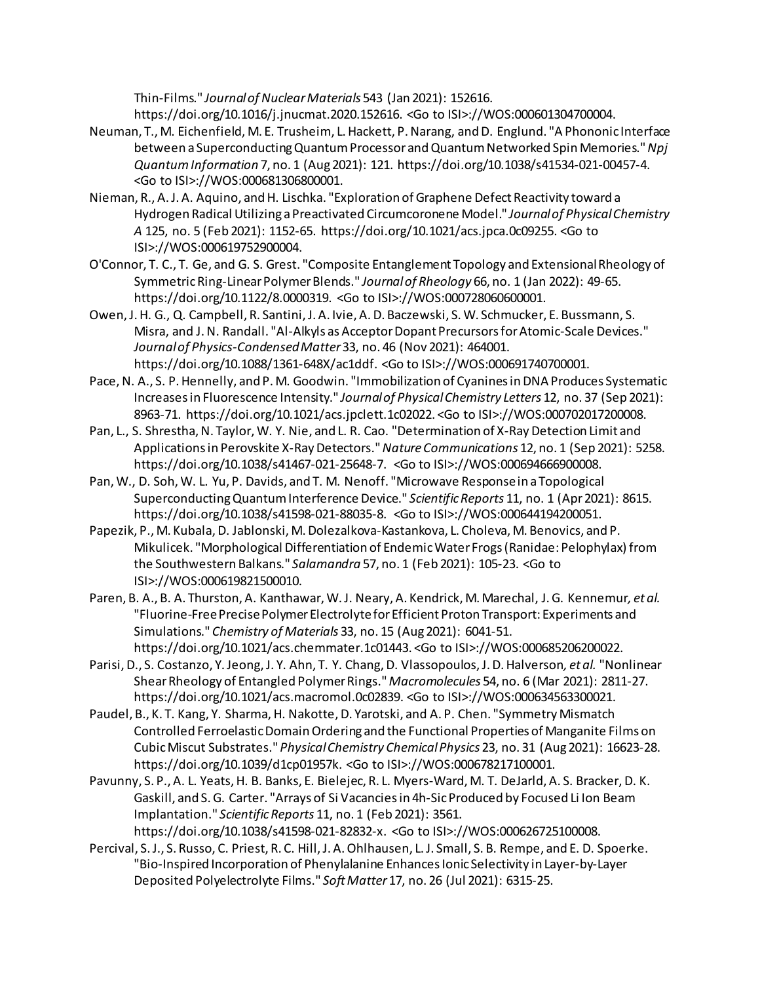Thin-Films." *Journal of Nuclear Materials* 543 (Jan 2021): 152616. https://doi.org/10.1016/j.jnucmat.2020.152616. <Go to ISI>://WOS:000601304700004.

- Neuman, T., M. Eichenfield, M. E. Trusheim, L. Hackett, P. Narang, and D. Englund. "A Phononic Interface between a Superconducting Quantum Processor and Quantum Networked Spin Memories." *Npj Quantum Information* 7, no. 1 (Aug 2021): 121. https://doi.org/10.1038/s41534-021-00457-4. <Go to ISI>://WOS:000681306800001.
- Nieman, R., A. J. A. Aquino, and H. Lischka. "Exploration of Graphene Defect Reactivity toward a Hydrogen Radical Utilizing a Preactivated Circumcoronene Model." *Journal of Physical Chemistry A* 125, no. 5 (Feb 2021): 1152-65. https://doi.org/10.1021/acs.jpca.0c09255. <Go to ISI>://WOS:000619752900004.
- O'Connor, T. C., T. Ge, and G. S. Grest. "Composite Entanglement Topology and Extensional Rheology of Symmetric Ring-Linear Polymer Blends." *Journal of Rheology* 66, no. 1 (Jan 2022): 49-65. https://doi.org/10.1122/8.0000319. <Go to ISI>://WOS:000728060600001.
- Owen, J. H. G., Q. Campbell, R. Santini, J. A. Ivie, A. D. Baczewski, S. W. Schmucker, E. Bussmann, S. Misra, and J. N. Randall. "Al-Alkyls as Acceptor Dopant Precursors for Atomic-Scale Devices." *Journal of Physics-Condensed Matter* 33, no. 46 (Nov 2021): 464001. https://doi.org/10.1088/1361-648X/ac1ddf. <Go to ISI>://WOS:000691740700001.
- Pace, N. A., S. P. Hennelly, and P. M. Goodwin. "Immobilization of Cyanines in DNA Produces Systematic Increases in Fluorescence Intensity." *Journal of Physical Chemistry Letters* 12, no. 37 (Sep 2021): 8963-71. https://doi.org/10.1021/acs.jpclett.1c02022. <Go to ISI>://WOS:000702017200008.
- Pan, L., S. Shrestha, N. Taylor, W. Y. Nie, and L. R. Cao. "Determination of X-Ray Detection Limit and Applications in Perovskite X-Ray Detectors." *Nature Communications* 12, no. 1 (Sep 2021): 5258. https://doi.org/10.1038/s41467-021-25648-7. <Go to ISI>://WOS:000694666900008.
- Pan, W., D. Soh, W. L. Yu, P. Davids, and T. M. Nenoff. "Microwave Response in a Topological Superconducting Quantum Interference Device." *Scientific Reports* 11, no. 1 (Apr 2021): 8615. https://doi.org/10.1038/s41598-021-88035-8. <Go to ISI>://WOS:000644194200051.
- Papezik, P., M. Kubala, D. Jablonski, M. Dolezalkova-Kastankova, L. Choleva, M. Benovics, and P. Mikulicek. "Morphological Differentiation of Endemic Water Frogs (Ranidae: Pelophylax) from the Southwestern Balkans." *Salamandra* 57, no. 1 (Feb 2021): 105-23. <Go to ISI>://WOS:000619821500010.
- Paren, B. A., B. A. Thurston, A. Kanthawar, W. J. Neary, A. Kendrick, M. Marechal, J. G. Kennemur*, et al.* "Fluorine-Free Precise Polymer Electrolyte for Efficient Proton Transport: Experiments and Simulations." *Chemistry of Materials* 33, no. 15 (Aug 2021): 6041-51. https://doi.org/10.1021/acs.chemmater.1c01443. <Go to ISI>://WOS:000685206200022.
- Parisi, D., S. Costanzo, Y. Jeong, J. Y. Ahn, T. Y. Chang, D. Vlassopoulos, J. D. Halverson*, et al.* "Nonlinear Shear Rheology of Entangled Polymer Rings." *Macromolecules* 54, no. 6 (Mar 2021): 2811-27. https://doi.org/10.1021/acs.macromol.0c02839. <Go to ISI>://WOS:000634563300021.
- Paudel, B., K. T. Kang, Y. Sharma, H. Nakotte, D. Yarotski, and A. P. Chen. "Symmetry Mismatch Controlled Ferroelastic Domain Ordering and the Functional Properties of Manganite Films on Cubic Miscut Substrates." *Physical Chemistry Chemical Physics* 23, no. 31 (Aug 2021): 16623-28. https://doi.org/10.1039/d1cp01957k. <Go to ISI>://WOS:000678217100001.
- Pavunny, S. P., A. L. Yeats, H. B. Banks, E. Bielejec, R. L. Myers-Ward, M. T. DeJarld, A. S. Bracker, D. K. Gaskill, and S. G. Carter. "Arrays of Si Vacancies in 4h-Sic Produced by Focused Li Ion Beam Implantation." *Scientific Reports* 11, no. 1 (Feb 2021): 3561. https://doi.org/10.1038/s41598-021-82832-x. <Go to ISI>://WOS:000626725100008.
- Percival, S. J., S. Russo, C. Priest, R. C. Hill, J. A. Ohlhausen, L. J. Small, S. B. Rempe, and E. D. Spoerke. "Bio-Inspired Incorporation of Phenylalanine Enhances Ionic Selectivity in Layer-by-Layer Deposited Polyelectrolyte Films." *Soft Matter* 17, no. 26 (Jul 2021): 6315-25.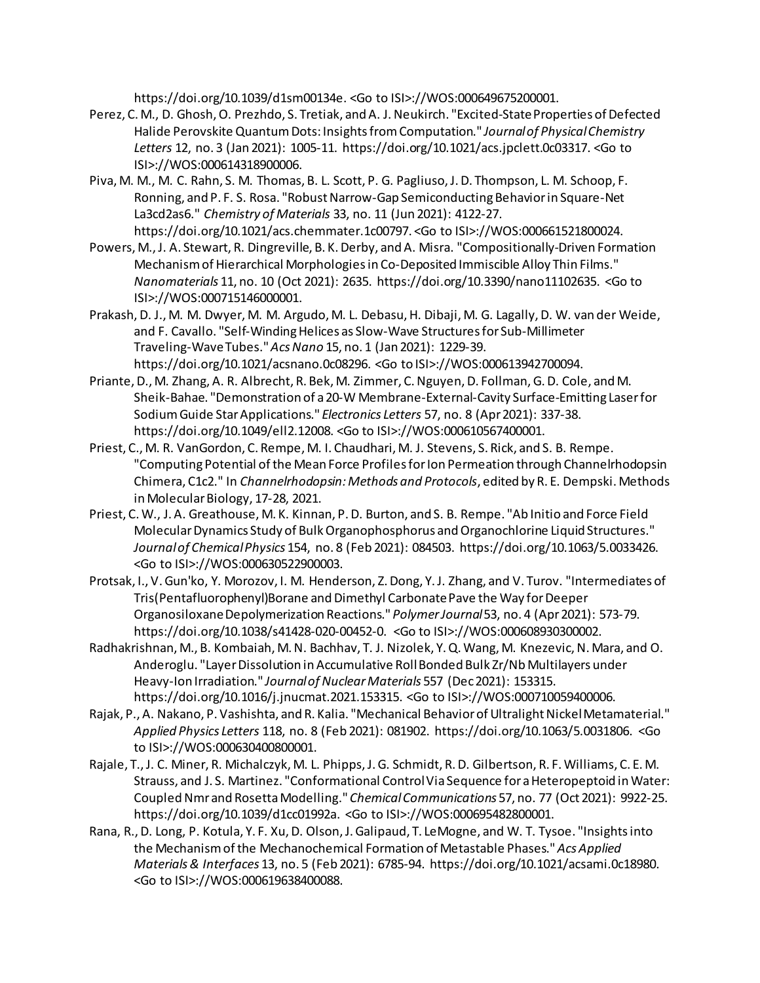https://doi.org/10.1039/d1sm00134e. <Go to ISI>://WOS:000649675200001.

- Perez, C. M., D. Ghosh, O. Prezhdo, S. Tretiak, and A. J. Neukirch. "Excited-State Properties of Defected Halide Perovskite Quantum Dots: Insights from Computation." *Journal of Physical Chemistry Letters* 12, no. 3 (Jan 2021): 1005-11. https://doi.org/10.1021/acs.jpclett.0c03317. <Go to ISI>://WOS:000614318900006.
- Piva, M. M., M. C. Rahn, S. M. Thomas, B. L. Scott, P. G. Pagliuso, J. D. Thompson, L. M. Schoop, F. Ronning, and P. F. S. Rosa. "Robust Narrow-Gap Semiconducting Behavior in Square-Net La3cd2as6." *Chemistry of Materials* 33, no. 11 (Jun 2021): 4122-27. https://doi.org/10.1021/acs.chemmater.1c00797. <Go to ISI>://WOS:000661521800024.
- Powers, M., J. A. Stewart, R. Dingreville, B. K. Derby, and A. Misra. "Compositionally-Driven Formation Mechanism of Hierarchical Morphologies in Co-Deposited Immiscible Alloy Thin Films." *Nanomaterials* 11, no. 10 (Oct 2021): 2635. https://doi.org/10.3390/nano11102635. <Go to ISI>://WOS:000715146000001.
- Prakash, D. J., M. M. Dwyer, M. M. Argudo, M. L. Debasu, H. Dibaji, M. G. Lagally, D. W. van der Weide, and F. Cavallo. "Self-Winding Helices as Slow-Wave Structures for Sub-Millimeter Traveling-Wave Tubes." *Acs Nano* 15, no. 1 (Jan 2021): 1229-39. https://doi.org/10.1021/acsnano.0c08296. <Go to ISI>://WOS:000613942700094.
- Priante, D., M. Zhang, A. R. Albrecht, R. Bek, M. Zimmer, C. Nguyen, D. Follman, G. D. Cole, and M. Sheik-Bahae. "Demonstration of a 20-W Membrane-External-Cavity Surface-Emitting Laser for Sodium Guide Star Applications." *Electronics Letters* 57, no. 8 (Apr 2021): 337-38. https://doi.org/10.1049/ell2.12008. <Go to ISI>://WOS:000610567400001.
- Priest, C., M. R. VanGordon, C. Rempe, M. I. Chaudhari, M. J. Stevens, S. Rick, and S. B. Rempe. "Computing Potential of the Mean Force Profiles for Ion Permeation through Channelrhodopsin Chimera, C1c2." In *Channelrhodopsin: Methods and Protocols*, edited by R. E. Dempski. Methods in Molecular Biology, 17-28, 2021.
- Priest, C. W., J. A. Greathouse, M. K. Kinnan, P. D. Burton, and S. B. Rempe. "Ab Initio and Force Field Molecular Dynamics Study of Bulk Organophosphorus and Organochlorine Liquid Structures." *Journal of Chemical Physics* 154, no. 8 (Feb 2021): 084503. https://doi.org/10.1063/5.0033426. <Go to ISI>://WOS:000630522900003.
- Protsak, I., V. Gun'ko, Y. Morozov, I. M. Henderson, Z. Dong, Y. J. Zhang, and V. Turov. "Intermediates of Tris(Pentafluorophenyl)Borane and Dimethyl Carbonate Pave the Way for Deeper Organosiloxane Depolymerization Reactions." *Polymer Journal* 53, no. 4 (Apr 2021): 573-79. https://doi.org/10.1038/s41428-020-00452-0. <Go to ISI>://WOS:000608930300002.
- Radhakrishnan, M., B. Kombaiah, M. N. Bachhav, T. J. Nizolek, Y. Q. Wang, M. Knezevic, N. Mara, and O. Anderoglu. "Layer Dissolution in Accumulative Roll Bonded Bulk Zr/Nb Multilayers under Heavy-Ion Irradiation." *Journal of Nuclear Materials* 557 (Dec 2021): 153315. https://doi.org/10.1016/j.jnucmat.2021.153315. <Go to ISI>://WOS:000710059400006.
- Rajak, P., A. Nakano, P. Vashishta, and R. Kalia. "Mechanical Behavior of Ultralight Nickel Metamaterial." *Applied Physics Letters* 118, no. 8 (Feb 2021): 081902. https://doi.org/10.1063/5.0031806. <Go to ISI>://WOS:000630400800001.
- Rajale, T., J. C. Miner, R. Michalczyk, M. L. Phipps, J. G. Schmidt, R. D. Gilbertson, R. F. Williams, C. E. M. Strauss, and J. S. Martinez. "Conformational Control Via Sequence for a Heteropeptoid in Water: Coupled Nmr and Rosetta Modelling." *Chemical Communications* 57, no. 77 (Oct 2021): 9922-25. https://doi.org/10.1039/d1cc01992a. <Go to ISI>://WOS:000695482800001.
- Rana, R., D. Long, P. Kotula, Y. F. Xu, D. Olson, J. Galipaud, T. LeMogne, and W. T. Tysoe. "Insights into the Mechanism of the Mechanochemical Formation of Metastable Phases." *Acs Applied Materials & Interfaces* 13, no. 5 (Feb 2021): 6785-94. https://doi.org/10.1021/acsami.0c18980. <Go to ISI>://WOS:000619638400088.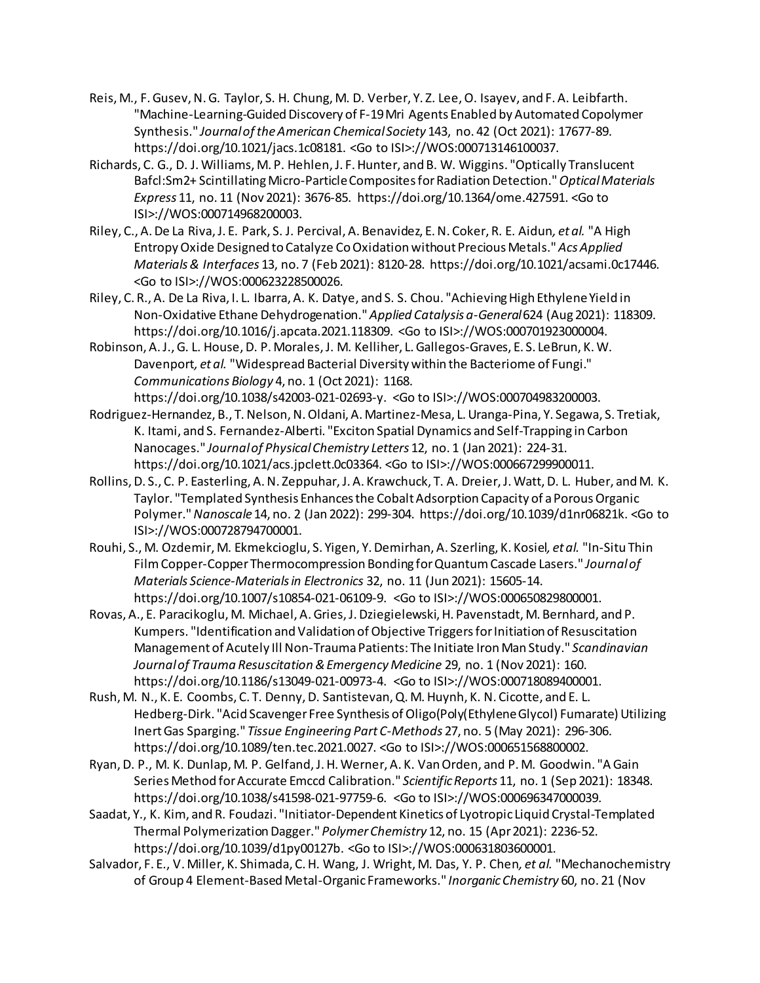- Reis, M., F. Gusev, N. G. Taylor, S. H. Chung, M. D. Verber, Y. Z. Lee, O. Isayev, and F. A. Leibfarth. "Machine-Learning-Guided Discovery of F-19 Mri Agents Enabled by Automated Copolymer Synthesis." *Journal of the American Chemical Society* 143, no. 42 (Oct 2021): 17677-89. https://doi.org/10.1021/jacs.1c08181. <Go to ISI>://WOS:000713146100037.
- Richards, C. G., D. J. Williams, M. P. Hehlen, J. F. Hunter, and B. W. Wiggins. "Optically Translucent Bafcl:Sm2+ Scintillating Micro-Particle Composites for Radiation Detection." *Optical Materials Express* 11, no. 11 (Nov 2021): 3676-85. https://doi.org/10.1364/ome.427591. <Go to ISI>://WOS:000714968200003.
- Riley, C., A. De La Riva, J. E. Park, S. J. Percival, A. Benavidez, E. N. Coker, R. E. Aidun*, et al.* "A High Entropy Oxide Designed to Catalyze Co Oxidation without Precious Metals." *Acs Applied Materials & Interfaces* 13, no. 7 (Feb 2021): 8120-28. https://doi.org/10.1021/acsami.0c17446. <Go to ISI>://WOS:000623228500026.
- Riley, C. R., A. De La Riva, I. L. Ibarra, A. K. Datye, and S. S. Chou. "Achieving High Ethylene Yield in Non-Oxidative Ethane Dehydrogenation." *Applied Catalysis a-General* 624 (Aug 2021): 118309. https://doi.org/10.1016/j.apcata.2021.118309. <Go to ISI>://WOS:000701923000004.
- Robinson, A. J., G. L. House, D. P. Morales, J. M. Kelliher, L. Gallegos-Graves, E. S. LeBrun, K. W. Davenport*, et al.* "Widespread Bacterial Diversity within the Bacteriome of Fungi." *Communications Biology* 4, no. 1 (Oct 2021): 1168. https://doi.org/10.1038/s42003-021-02693-y. <Go to ISI>://WOS:000704983200003.
- Rodriguez-Hernandez, B., T. Nelson, N. Oldani, A. Martinez-Mesa, L. Uranga-Pina, Y. Segawa, S. Tretiak, K. Itami, and S. Fernandez-Alberti. "Exciton Spatial Dynamics and Self-Trapping in Carbon Nanocages." *Journal of Physical Chemistry Letters* 12, no. 1 (Jan 2021): 224-31. https://doi.org/10.1021/acs.jpclett.0c03364. <Go to ISI>://WOS:000667299900011.
- Rollins, D. S., C. P. Easterling, A. N. Zeppuhar, J. A. Krawchuck, T. A. Dreier, J. Watt, D. L. Huber, and M. K. Taylor. "Templated Synthesis Enhances the Cobalt Adsorption Capacity of a Porous Organic Polymer." *Nanoscale* 14, no. 2 (Jan 2022): 299-304. https://doi.org/10.1039/d1nr06821k. <Go to ISI>://WOS:000728794700001.
- Rouhi, S., M. Ozdemir, M. Ekmekcioglu, S. Yigen, Y. Demirhan, A. Szerling, K. Kosiel*, et al.* "In-Situ Thin Film Copper-Copper Thermocompression Bonding for Quantum Cascade Lasers." *Journal of Materials Science-Materials in Electronics* 32, no. 11 (Jun 2021): 15605-14. https://doi.org/10.1007/s10854-021-06109-9. <Go to ISI>://WOS:000650829800001.
- Rovas, A., E. Paracikoglu, M. Michael, A. Gries, J. Dziegielewski, H. Pavenstadt, M. Bernhard, and P. Kumpers. "Identification and Validation of Objective Triggers for Initiation of Resuscitation Management of Acutely Ill Non-Trauma Patients: The Initiate Iron Man Study." *Scandinavian Journal of Trauma Resuscitation & Emergency Medicine* 29, no. 1 (Nov 2021): 160. https://doi.org/10.1186/s13049-021-00973-4. <Go to ISI>://WOS:000718089400001.
- Rush, M. N., K. E. Coombs, C. T. Denny, D. Santistevan, Q. M. Huynh, K. N. Cicotte, and E. L. Hedberg-Dirk. "Acid Scavenger Free Synthesis of Oligo(Poly(Ethylene Glycol) Fumarate) Utilizing Inert Gas Sparging." *Tissue Engineering Part C-Methods* 27, no. 5 (May 2021): 296-306. https://doi.org/10.1089/ten.tec.2021.0027. <Go to ISI>://WOS:000651568800002.
- Ryan, D. P., M. K. Dunlap, M. P. Gelfand, J. H. Werner, A. K. Van Orden, and P. M. Goodwin. "A Gain Series Method for Accurate Emccd Calibration." *Scientific Reports* 11, no. 1 (Sep 2021): 18348. https://doi.org/10.1038/s41598-021-97759-6. <Go to ISI>://WOS:000696347000039.
- Saadat, Y., K. Kim, and R. Foudazi. "Initiator-Dependent Kinetics of Lyotropic Liquid Crystal-Templated Thermal Polymerization Dagger." *Polymer Chemistry* 12, no. 15 (Apr 2021): 2236-52. https://doi.org/10.1039/d1py00127b. <Go to ISI>://WOS:000631803600001.
- Salvador, F. E., V. Miller, K. Shimada, C. H. Wang, J. Wright, M. Das, Y. P. Chen*, et al.* "Mechanochemistry of Group 4 Element-Based Metal-Organic Frameworks." *Inorganic Chemistry* 60, no. 21 (Nov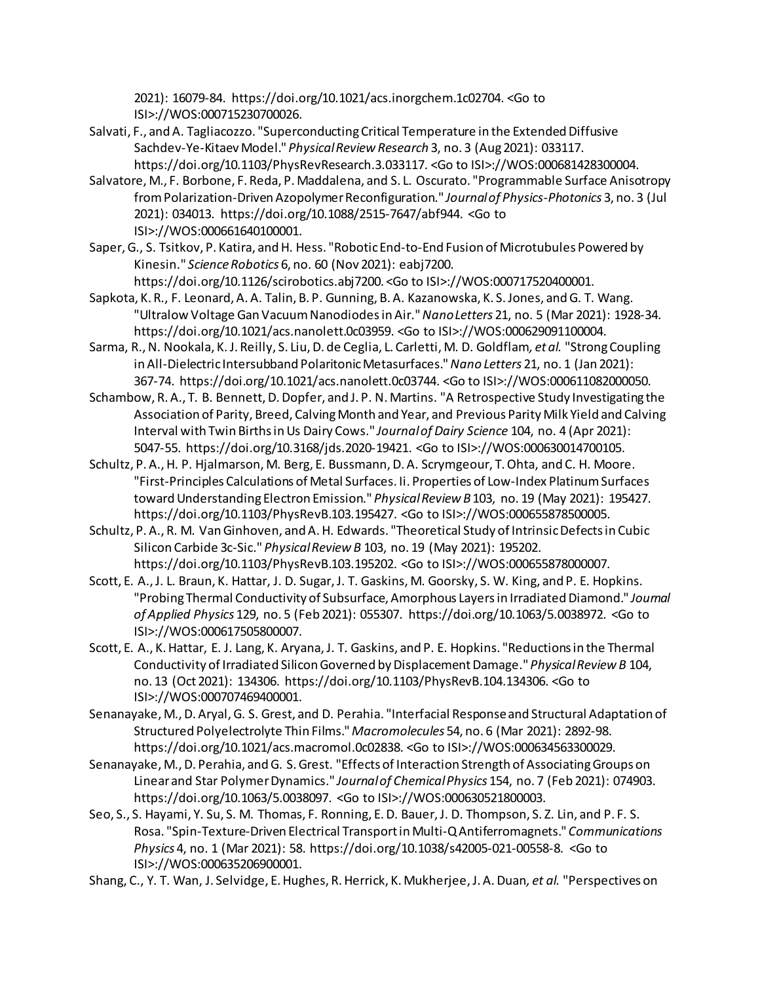2021): 16079-84. https://doi.org/10.1021/acs.inorgchem.1c02704. <Go to ISI>://WOS:000715230700026.

- Salvati, F., and A. Tagliacozzo. "Superconducting Critical Temperature in the Extended Diffusive Sachdev-Ye-Kitaev Model." *Physical Review Research* 3, no. 3 (Aug 2021): 033117. https://doi.org/10.1103/PhysRevResearch.3.033117. <Go to ISI>://WOS:000681428300004.
- Salvatore, M., F. Borbone, F. Reda, P. Maddalena, and S. L. Oscurato. "Programmable Surface Anisotropy from Polarization-Driven Azopolymer Reconfiguration." *Journal of Physics-Photonics* 3, no. 3 (Jul 2021): 034013. https://doi.org/10.1088/2515-7647/abf944. <Go to ISI>://WOS:000661640100001.
- Saper, G., S. Tsitkov, P. Katira, and H. Hess. "Robotic End-to-End Fusion of Microtubules Powered by Kinesin." *Science Robotics* 6, no. 60 (Nov 2021): eabj7200.

https://doi.org/10.1126/scirobotics.abj7200. <Go to ISI>://WOS:000717520400001.

- Sapkota, K. R., F. Leonard, A. A. Talin, B. P. Gunning, B. A. Kazanowska, K. S. Jones, and G. T. Wang. "Ultralow Voltage Gan Vacuum Nanodiodes in Air." *Nano Letters* 21, no. 5 (Mar 2021): 1928-34. https://doi.org/10.1021/acs.nanolett.0c03959. <Go to ISI>://WOS:000629091100004.
- Sarma, R., N. Nookala, K. J. Reilly, S. Liu, D. de Ceglia, L. Carletti, M. D. Goldflam*, et al.* "Strong Coupling in All-Dielectric Intersubband Polaritonic Metasurfaces." *Nano Letters* 21, no. 1 (Jan 2021): 367-74. https://doi.org/10.1021/acs.nanolett.0c03744. <Go to ISI>://WOS:000611082000050.
- Schambow, R. A., T. B. Bennett, D. Dopfer, and J. P. N. Martins. "A Retrospective Study Investigating the Association of Parity, Breed, Calving Month and Year, and Previous Parity Milk Yield and Calving Interval with Twin Births in Us Dairy Cows." *Journal of Dairy Science* 104, no. 4 (Apr 2021): 5047-55. https://doi.org/10.3168/jds.2020-19421. <Go to ISI>://WOS:000630014700105.
- Schultz, P. A., H. P. Hjalmarson, M. Berg, E. Bussmann, D. A. Scrymgeour, T. Ohta, and C. H. Moore. "First-Principles Calculations of Metal Surfaces. Ii. Properties of Low-Index Platinum Surfaces toward Understanding Electron Emission." *Physical Review B* 103, no. 19 (May 2021): 195427. https://doi.org/10.1103/PhysRevB.103.195427. <Go to ISI>://WOS:000655878500005.
- Schultz, P. A., R. M. Van Ginhoven, and A. H. Edwards. "Theoretical Study of Intrinsic Defects in Cubic Silicon Carbide 3c-Sic." *Physical Review B* 103, no. 19 (May 2021): 195202. https://doi.org/10.1103/PhysRevB.103.195202. <Go to ISI>://WOS:000655878000007.
- Scott, E. A., J. L. Braun, K. Hattar, J. D. Sugar, J. T. Gaskins, M. Goorsky, S. W. King, and P. E. Hopkins. "Probing Thermal Conductivity of Subsurface, Amorphous Layers in Irradiated Diamond." *Journal of Applied Physics* 129, no. 5 (Feb 2021): 055307. https://doi.org/10.1063/5.0038972. <Go to ISI>://WOS:000617505800007.
- Scott, E. A., K. Hattar, E. J. Lang, K. Aryana, J. T. Gaskins, and P. E. Hopkins. "Reductions in the Thermal Conductivity of Irradiated Silicon Governed by Displacement Damage." *Physical Review B* 104, no. 13 (Oct 2021): 134306. https://doi.org/10.1103/PhysRevB.104.134306. <Go to ISI>://WOS:000707469400001.
- Senanayake, M., D. Aryal, G. S. Grest, and D. Perahia. "Interfacial Response and Structural Adaptation of Structured Polyelectrolyte Thin Films." *Macromolecules* 54, no. 6 (Mar 2021): 2892-98. https://doi.org/10.1021/acs.macromol.0c02838. <Go to ISI>://WOS:000634563300029.
- Senanayake, M., D. Perahia, and G. S. Grest. "Effects of Interaction Strength of Associating Groups on Linear and Star Polymer Dynamics." *Journal of Chemical Physics* 154, no. 7 (Feb 2021): 074903. https://doi.org/10.1063/5.0038097. <Go to ISI>://WOS:000630521800003.
- Seo, S., S. Hayami, Y. Su, S. M. Thomas, F. Ronning, E. D. Bauer, J. D. Thompson, S. Z. Lin, and P. F. S. Rosa. "Spin-Texture-Driven Electrical Transport in Multi-Q Antiferromagnets." *Communications Physics* 4, no. 1 (Mar 2021): 58. https://doi.org/10.1038/s42005-021-00558-8. <Go to ISI>://WOS:000635206900001.
- Shang, C., Y. T. Wan, J. Selvidge, E. Hughes, R. Herrick, K. Mukherjee, J. A. Duan*, et al.* "Perspectives on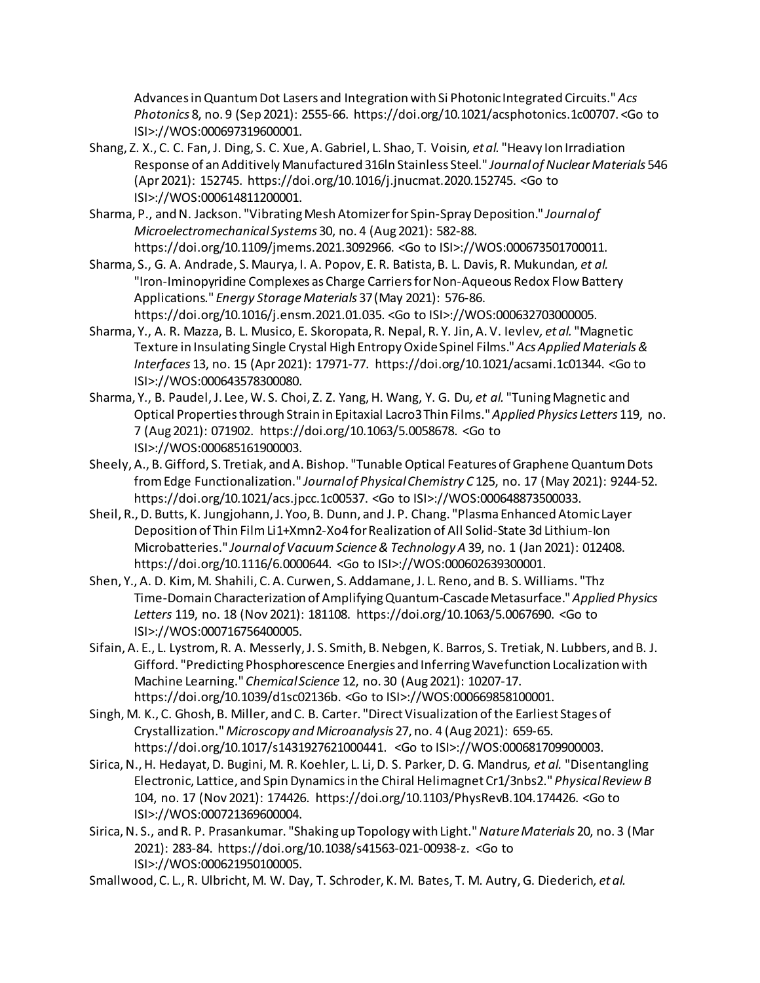Advances in Quantum Dot Lasers and Integration with Si Photonic Integrated Circuits." *Acs Photonics* 8, no. 9 (Sep 2021): 2555-66. https://doi.org/10.1021/acsphotonics.1c00707. <Go to ISI>://WOS:000697319600001.

- Shang, Z. X., C. C. Fan, J. Ding, S. C. Xue, A. Gabriel, L. Shao, T. Voisin*, et al.* "Heavy Ion Irradiation Response of an Additively Manufactured 316ln Stainless Steel." *Journal of Nuclear Materials* 546 (Apr 2021): 152745. https://doi.org/10.1016/j.jnucmat.2020.152745. <Go to ISI>://WOS:000614811200001.
- Sharma, P., and N. Jackson. "Vibrating Mesh Atomizer for Spin-Spray Deposition." *Journal of Microelectromechanical Systems* 30, no. 4 (Aug 2021): 582-88. https://doi.org/10.1109/jmems.2021.3092966. <Go to ISI>://WOS:000673501700011.
- Sharma, S., G. A. Andrade, S. Maurya, I. A. Popov, E. R. Batista, B. L. Davis, R. Mukundan*, et al.* "Iron-Iminopyridine Complexes as Charge Carriers for Non-Aqueous Redox Flow Battery Applications." *Energy Storage Materials* 37 (May 2021): 576-86. https://doi.org/10.1016/j.ensm.2021.01.035. <Go to ISI>://WOS:000632703000005.
- Sharma, Y., A. R. Mazza, B. L. Musico, E. Skoropata, R. Nepal, R. Y. Jin, A. V. Ievlev*, et al.* "Magnetic Texture in Insulating Single Crystal High Entropy Oxide Spinel Films." *Acs Applied Materials & Interfaces* 13, no. 15 (Apr 2021): 17971-77. https://doi.org/10.1021/acsami.1c01344. <Go to ISI>://WOS:000643578300080.
- Sharma, Y., B. Paudel, J. Lee, W. S. Choi, Z. Z. Yang, H. Wang, Y. G. Du*, et al.* "Tuning Magnetic and Optical Properties through Strain in Epitaxial Lacro3 Thin Films." *Applied Physics Letters* 119, no. 7 (Aug 2021): 071902. https://doi.org/10.1063/5.0058678. <Go to ISI>://WOS:000685161900003.
- Sheely, A., B. Gifford, S. Tretiak, and A. Bishop. "Tunable Optical Features of Graphene Quantum Dots from Edge Functionalization." *Journal of Physical Chemistry C* 125, no. 17 (May 2021): 9244-52. https://doi.org/10.1021/acs.jpcc.1c00537. <Go to ISI>://WOS:000648873500033.
- Sheil, R., D. Butts, K. Jungjohann, J. Yoo, B. Dunn, and J. P. Chang. "Plasma Enhanced Atomic Layer Deposition of Thin Film Li1+Xmn2-Xo4 for Realization of All Solid-State 3d Lithium-Ion Microbatteries." *Journal of Vacuum Science & Technology A* 39, no. 1 (Jan 2021): 012408. https://doi.org/10.1116/6.0000644. <Go to ISI>://WOS:000602639300001.
- Shen, Y., A. D. Kim, M. Shahili, C. A. Curwen, S. Addamane, J. L. Reno, and B. S. Williams. "Thz Time-Domain Characterization of Amplifying Quantum-Cascade Metasurface." *Applied Physics Letters* 119, no. 18 (Nov 2021): 181108. https://doi.org/10.1063/5.0067690. <Go to ISI>://WOS:000716756400005.
- Sifain, A. E., L. Lystrom, R. A. Messerly, J. S. Smith, B. Nebgen, K. Barros, S. Tretiak, N. Lubbers, and B. J. Gifford. "Predicting Phosphorescence Energies and Inferring Wavefunction Localization with Machine Learning." *Chemical Science* 12, no. 30 (Aug 2021): 10207-17. https://doi.org/10.1039/d1sc02136b. <Go to ISI>://WOS:000669858100001.
- Singh, M. K., C. Ghosh, B. Miller, and C. B. Carter. "Direct Visualization of the Earliest Stages of Crystallization." *Microscopy and Microanalysis* 27, no. 4 (Aug 2021): 659-65. https://doi.org/10.1017/s1431927621000441. <Go to ISI>://WOS:000681709900003.
- Sirica, N., H. Hedayat, D. Bugini, M. R. Koehler, L. Li, D. S. Parker, D. G. Mandrus*, et al.* "Disentangling Electronic, Lattice, and Spin Dynamics in the Chiral Helimagnet Cr1/3nbs2." *Physical Review B*  104, no. 17 (Nov 2021): 174426. https://doi.org/10.1103/PhysRevB.104.174426. <Go to ISI>://WOS:000721369600004.
- Sirica, N. S., and R. P. Prasankumar. "Shaking up Topology with Light." *Nature Materials* 20, no. 3 (Mar 2021): 283-84. https://doi.org/10.1038/s41563-021-00938-z. <Go to ISI>://WOS:000621950100005.

Smallwood, C. L., R. Ulbricht, M. W. Day, T. Schroder, K. M. Bates, T. M. Autry, G. Diederich*, et al.*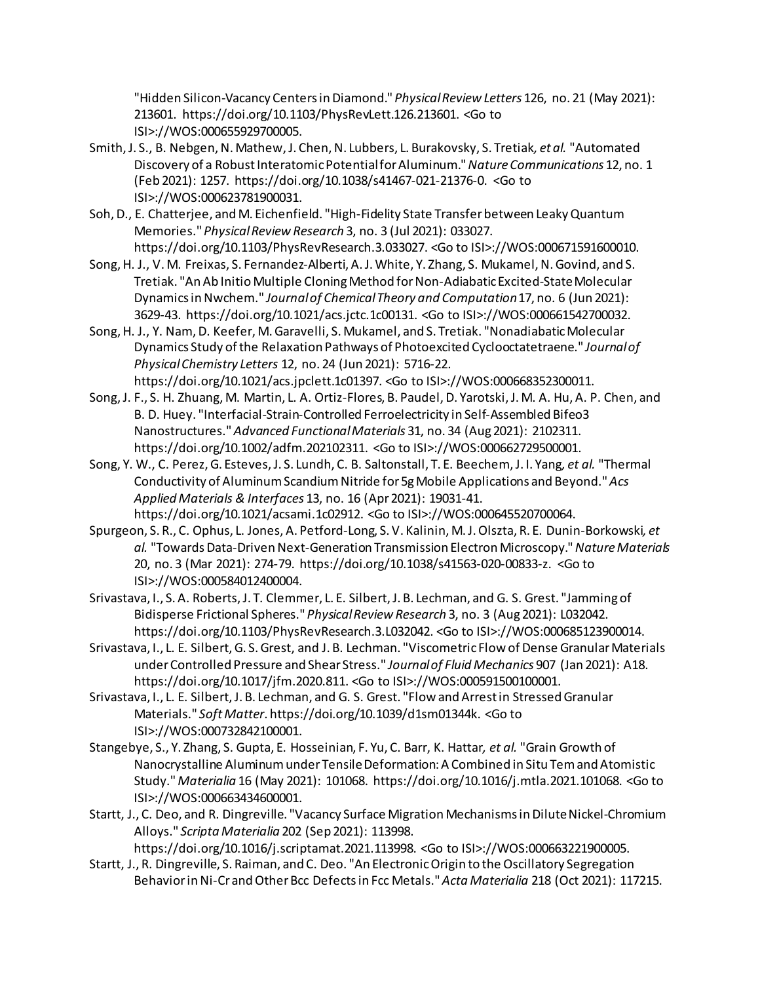"Hidden Silicon-Vacancy Centers in Diamond." *Physical Review Letters* 126, no. 21 (May 2021): 213601. https://doi.org/10.1103/PhysRevLett.126.213601. <Go to ISI>://WOS:000655929700005.

- Smith, J. S., B. Nebgen, N. Mathew, J. Chen, N. Lubbers, L. Burakovsky, S. Tretiak*, et al.* "Automated Discovery of a Robust Interatomic Potential for Aluminum." *Nature Communications* 12, no. 1 (Feb 2021): 1257. https://doi.org/10.1038/s41467-021-21376-0. <Go to ISI>://WOS:000623781900031.
- Soh, D., E. Chatterjee, and M. Eichenfield. "High-Fidelity State Transfer between Leaky Quantum Memories." *Physical Review Research* 3, no. 3 (Jul 2021): 033027. https://doi.org/10.1103/PhysRevResearch.3.033027. <Go to ISI>://WOS:000671591600010.
- Song, H. J., V. M. Freixas, S. Fernandez-Alberti, A. J. White, Y. Zhang, S. Mukamel, N. Govind, and S. Tretiak. "An Ab Initio Multiple Cloning Method for Non-Adiabatic Excited-State Molecular Dynamics in Nwchem." *Journal of Chemical Theory and Computation* 17, no. 6 (Jun 2021): 3629-43. https://doi.org/10.1021/acs.jctc.1c00131. <Go to ISI>://WOS:000661542700032.
- Song, H. J., Y. Nam, D. Keefer, M. Garavelli, S. Mukamel, and S. Tretiak. "Nonadiabatic Molecular Dynamics Study of the Relaxation Pathways of Photoexcited Cyclooctatetraene." *Journal of Physical Chemistry Letters* 12, no. 24 (Jun 2021): 5716-22. https://doi.org/10.1021/acs.jpclett.1c01397. <Go to ISI>://WOS:000668352300011.
- Song, J. F., S. H. Zhuang, M. Martin, L. A. Ortiz-Flores, B. Paudel, D. Yarotski, J. M. A. Hu, A. P. Chen, and B. D. Huey. "Interfacial-Strain-Controlled Ferroelectricity in Self-Assembled Bifeo3 Nanostructures." *Advanced Functional Materials* 31, no. 34 (Aug 2021): 2102311. https://doi.org/10.1002/adfm.202102311. <Go to ISI>://WOS:000662729500001.
- Song, Y. W., C. Perez, G. Esteves, J. S. Lundh, C. B. Saltonstall, T. E. Beechem, J. I. Yang*, et al.* "Thermal Conductivity of Aluminum Scandium Nitride for 5g Mobile Applications and Beyond." *Acs Applied Materials & Interfaces* 13, no. 16 (Apr 2021): 19031-41. https://doi.org/10.1021/acsami.1c02912. <Go to ISI>://WOS:000645520700064.
- Spurgeon, S. R., C. Ophus, L. Jones, A. Petford-Long, S. V. Kalinin, M. J. Olszta, R. E. Dunin-Borkowski*, et al.* "Towards Data-Driven Next-Generation Transmission Electron Microscopy." *Nature Materials*  20, no. 3 (Mar 2021): 274-79. https://doi.org/10.1038/s41563-020-00833-z. <Go to ISI>://WOS:000584012400004.
- Srivastava, I., S. A. Roberts, J. T. Clemmer, L. E. Silbert, J. B. Lechman, and G. S. Grest. "Jamming of Bidisperse Frictional Spheres." *Physical Review Research* 3, no. 3 (Aug 2021): L032042. https://doi.org/10.1103/PhysRevResearch.3.L032042. <Go to ISI>://WOS:000685123900014.
- Srivastava, I., L. E. Silbert, G. S. Grest, and J. B. Lechman. "Viscometric Flow of Dense Granular Materials under Controlled Pressure and Shear Stress." *Journal of Fluid Mechanics* 907 (Jan 2021): A18. https://doi.org/10.1017/jfm.2020.811. <Go to ISI>://WOS:000591500100001.
- Srivastava, I., L. E. Silbert, J. B. Lechman, and G. S. Grest. "Flow and Arrest in Stressed Granular Materials." *Soft Matter*. https://doi.org/10.1039/d1sm01344k. <Go to ISI>://WOS:000732842100001.
- Stangebye, S., Y. Zhang, S. Gupta, E. Hosseinian, F. Yu, C. Barr, K. Hattar*, et al.* "Grain Growth of Nanocrystalline Aluminum under Tensile Deformation: A Combined in Situ Tem and Atomistic Study." *Materialia* 16 (May 2021): 101068. https://doi.org/10.1016/j.mtla.2021.101068. <Go to ISI>://WOS:000663434600001.
- Startt, J., C. Deo, and R. Dingreville. "Vacancy Surface Migration Mechanisms in Dilute Nickel-Chromium Alloys." *Scripta Materialia* 202 (Sep 2021): 113998.

https://doi.org/10.1016/j.scriptamat.2021.113998. <Go to ISI>://WOS:000663221900005.

Startt, J., R. Dingreville, S. Raiman, and C. Deo. "An Electronic Origin to the Oscillatory Segregation Behavior in Ni-Cr and Other Bcc Defects in Fcc Metals." *Acta Materialia* 218 (Oct 2021): 117215.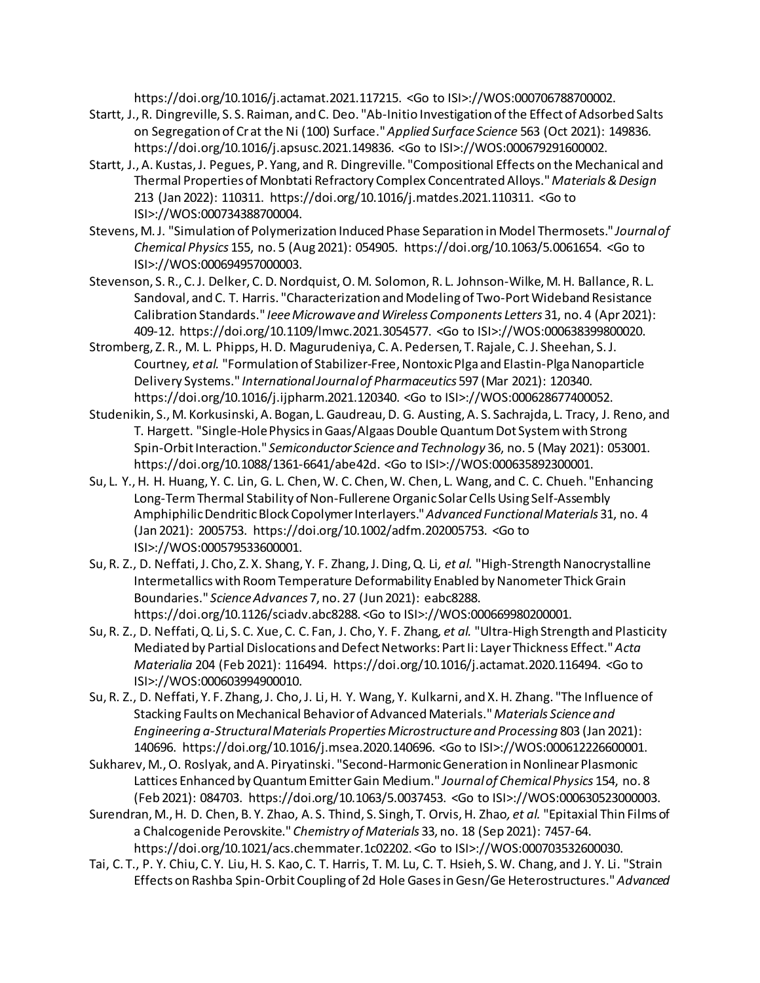https://doi.org/10.1016/j.actamat.2021.117215. <Go to ISI>://WOS:000706788700002.

- Startt, J., R. Dingreville, S. S. Raiman, and C. Deo. "Ab-Initio Investigation of the Effect of Adsorbed Salts on Segregation of Cr at the Ni (100) Surface." *Applied Surface Science* 563 (Oct 2021): 149836. https://doi.org/10.1016/j.apsusc.2021.149836. <Go to ISI>://WOS:000679291600002.
- Startt, J., A. Kustas, J. Pegues, P. Yang, and R. Dingreville. "Compositional Effects on the Mechanical and Thermal Properties of Monbtati Refractory Complex Concentrated Alloys." *Materials & Design*  213 (Jan 2022): 110311. https://doi.org/10.1016/j.matdes.2021.110311. <Go to ISI>://WOS:000734388700004.
- Stevens, M. J. "Simulation of Polymerization Induced Phase Separation in Model Thermosets." *Journal of Chemical Physics* 155, no. 5 (Aug 2021): 054905. https://doi.org/10.1063/5.0061654. <Go to ISI>://WOS:000694957000003.
- Stevenson, S. R., C. J. Delker, C. D. Nordquist, O. M. Solomon, R. L. Johnson-Wilke, M. H. Ballance, R. L. Sandoval, and C. T. Harris. "Characterization and Modeling of Two-Port Wideband Resistance Calibration Standards." *Ieee Microwave and Wireless Components Letters* 31, no. 4 (Apr 2021): 409-12. https://doi.org/10.1109/lmwc.2021.3054577. <Go to ISI>://WOS:000638399800020.
- Stromberg, Z. R., M. L. Phipps, H. D. Magurudeniya, C. A. Pedersen, T. Rajale, C. J. Sheehan, S. J. Courtney*, et al.* "Formulation of Stabilizer-Free, Nontoxic Plga and Elastin-Plga Nanoparticle Delivery Systems." *International Journal of Pharmaceutics* 597 (Mar 2021): 120340. https://doi.org/10.1016/j.ijpharm.2021.120340. <Go to ISI>://WOS:000628677400052.
- Studenikin, S., M. Korkusinski, A. Bogan, L. Gaudreau, D. G. Austing, A. S. Sachrajda, L. Tracy, J. Reno, and T. Hargett. "Single-Hole Physics in Gaas/Algaas Double Quantum Dot System with Strong Spin-Orbit Interaction." *Semiconductor Science and Technology* 36, no. 5 (May 2021): 053001. https://doi.org/10.1088/1361-6641/abe42d. <Go to ISI>://WOS:000635892300001.
- Su, L. Y., H. H. Huang, Y. C. Lin, G. L. Chen, W. C. Chen, W. Chen, L. Wang, and C. C. Chueh. "Enhancing Long-Term Thermal Stability of Non-Fullerene Organic Solar Cells Using Self-Assembly Amphiphilic Dendritic Block Copolymer Interlayers." *Advanced Functional Materials* 31, no. 4 (Jan 2021): 2005753. https://doi.org/10.1002/adfm.202005753. <Go to ISI>://WOS:000579533600001.
- Su, R. Z., D. Neffati, J. Cho, Z. X. Shang, Y. F. Zhang, J. Ding, Q. Li*, et al.* "High-Strength Nanocrystalline Intermetallics with Room Temperature Deformability Enabled by Nanometer Thick Grain Boundaries." *Science Advances* 7, no. 27 (Jun 2021): eabc8288. https://doi.org/10.1126/sciadv.abc8288. <Go to ISI>://WOS:000669980200001.
- Su, R. Z., D. Neffati, Q. Li, S. C. Xue, C. C. Fan, J. Cho, Y. F. Zhang*, et al.* "Ultra-High Strength and Plasticity Mediated by Partial Dislocations and Defect Networks: Part Ii: Layer Thickness Effect." *Acta Materialia* 204 (Feb 2021): 116494. https://doi.org/10.1016/j.actamat.2020.116494. <Go to ISI>://WOS:000603994900010.
- Su, R. Z., D. Neffati, Y. F. Zhang, J. Cho, J. Li, H. Y. Wang, Y. Kulkarni, and X. H. Zhang. "The Influence of Stacking Faults on Mechanical Behavior of Advanced Materials." *Materials Science and Engineering a-Structural Materials Properties Microstructure and Processing* 803 (Jan 2021): 140696. https://doi.org/10.1016/j.msea.2020.140696. <Go to ISI>://WOS:000612226600001.
- Sukharev, M., O. Roslyak, and A. Piryatinski. "Second-Harmonic Generation in Nonlinear Plasmonic Lattices Enhanced by Quantum Emitter Gain Medium." *Journal of Chemical Physics* 154, no. 8 (Feb 2021): 084703. https://doi.org/10.1063/5.0037453. <Go to ISI>://WOS:000630523000003.
- Surendran, M., H. D. Chen, B. Y. Zhao, A. S. Thind, S. Singh, T. Orvis, H. Zhao*, et al.* "Epitaxial Thin Films of a Chalcogenide Perovskite." *Chemistry of Materials* 33, no. 18 (Sep 2021): 7457-64. https://doi.org/10.1021/acs.chemmater.1c02202. <Go to ISI>://WOS:000703532600030.
- Tai, C. T., P. Y. Chiu, C. Y. Liu, H. S. Kao, C. T. Harris, T. M. Lu, C. T. Hsieh, S. W. Chang, and J. Y. Li. "Strain Effects on Rashba Spin-Orbit Coupling of 2d Hole Gases in Gesn/Ge Heterostructures." *Advanced*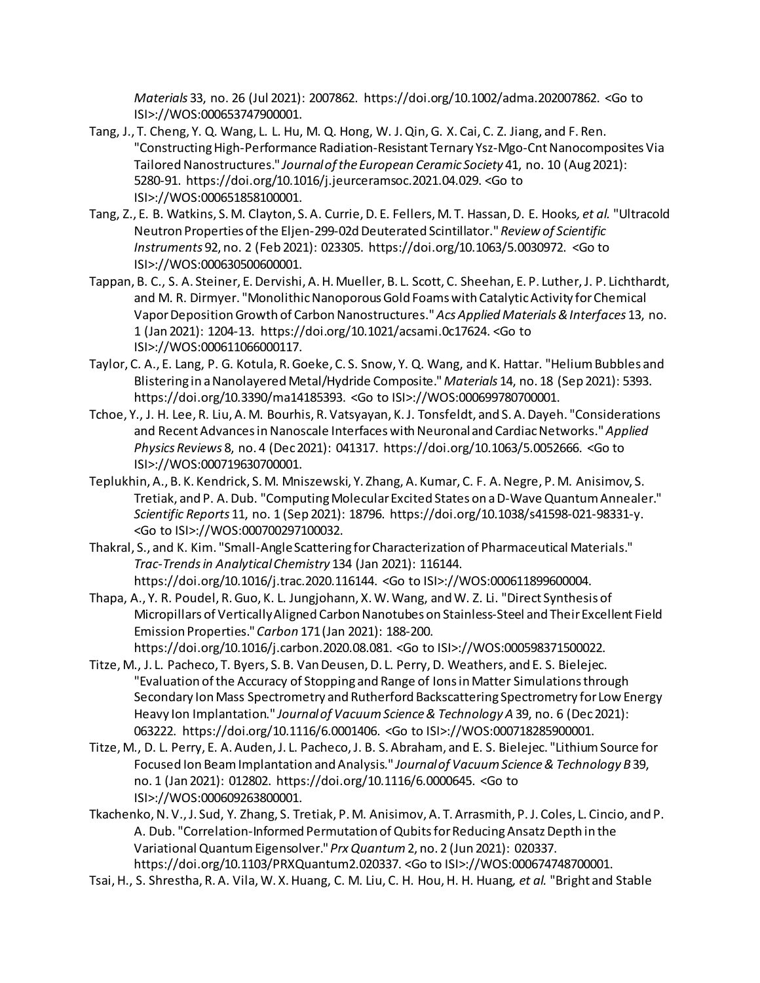*Materials* 33, no. 26 (Jul 2021): 2007862. https://doi.org/10.1002/adma.202007862. <Go to ISI>://WOS:000653747900001.

- Tang, J., T. Cheng, Y. Q. Wang, L. L. Hu, M. Q. Hong, W. J. Qin, G. X. Cai, C. Z. Jiang, and F. Ren. "Constructing High-Performance Radiation-Resistant Ternary Ysz-Mgo-Cnt Nanocomposites Via Tailored Nanostructures." *Journal of the European Ceramic Society* 41, no. 10 (Aug 2021): 5280-91. https://doi.org/10.1016/j.jeurceramsoc.2021.04.029. <Go to ISI>://WOS:000651858100001.
- Tang, Z., E. B. Watkins, S. M. Clayton, S. A. Currie, D. E. Fellers, M. T. Hassan, D. E. Hooks*, et al.* "Ultracold Neutron Properties of the Eljen-299-02d Deuterated Scintillator." *Review of Scientific Instruments* 92, no. 2 (Feb 2021): 023305. https://doi.org/10.1063/5.0030972. <Go to ISI>://WOS:000630500600001.
- Tappan, B. C., S. A. Steiner, E. Dervishi, A. H. Mueller, B. L. Scott, C. Sheehan, E. P. Luther, J. P. Lichthardt, and M. R. Dirmyer. "Monolithic Nanoporous Gold Foams with Catalytic Activity for Chemical Vapor Deposition Growth of Carbon Nanostructures." *Acs Applied Materials & Interfaces* 13, no. 1 (Jan 2021): 1204-13. https://doi.org/10.1021/acsami.0c17624. <Go to ISI>://WOS:000611066000117.
- Taylor, C. A., E. Lang, P. G. Kotula, R. Goeke, C. S. Snow, Y. Q. Wang, and K. Hattar. "Helium Bubbles and Blistering in a Nanolayered Metal/Hydride Composite." *Materials* 14, no. 18 (Sep 2021): 5393. https://doi.org/10.3390/ma14185393. <Go to ISI>://WOS:000699780700001.
- Tchoe, Y., J. H. Lee, R. Liu, A. M. Bourhis, R. Vatsyayan, K. J. Tonsfeldt, and S. A. Dayeh. "Considerations and Recent Advances in Nanoscale Interfaces with Neuronal and Cardiac Networks." *Applied Physics Reviews* 8, no. 4 (Dec 2021): 041317. https://doi.org/10.1063/5.0052666. <Go to ISI>://WOS:000719630700001.
- Teplukhin, A., B. K. Kendrick, S. M. Mniszewski, Y. Zhang, A. Kumar, C. F. A. Negre, P. M. Anisimov, S. Tretiak, and P. A. Dub. "Computing Molecular Excited States on a D-Wave Quantum Annealer." *Scientific Reports* 11, no. 1 (Sep 2021): 18796. https://doi.org/10.1038/s41598-021-98331-y. <Go to ISI>://WOS:000700297100032.
- Thakral, S., and K. Kim. "Small-Angle Scattering for Characterization of Pharmaceutical Materials." *Trac-Trends in Analytical Chemistry* 134 (Jan 2021): 116144. https://doi.org/10.1016/j.trac.2020.116144. <Go to ISI>://WOS:000611899600004.
- Thapa, A., Y. R. Poudel, R. Guo, K. L. Jungjohann, X. W. Wang, and W. Z. Li. "Direct Synthesis of Micropillars of Vertically Aligned Carbon Nanotubes on Stainless-Steel and Their Excellent Field Emission Properties." *Carbon* 171 (Jan 2021): 188-200. https://doi.org/10.1016/j.carbon.2020.08.081. <Go to ISI>://WOS:000598371500022.
- Titze, M., J. L. Pacheco, T. Byers, S. B. Van Deusen, D. L. Perry, D. Weathers, and E. S. Bielejec. "Evaluation of the Accuracy of Stopping and Range of Ions in Matter Simulations through Secondary Ion Mass Spectrometry and Rutherford Backscattering Spectrometry for Low Energy Heavy Ion Implantation." *Journal of Vacuum Science & Technology A* 39, no. 6 (Dec 2021): 063222. https://doi.org/10.1116/6.0001406. <Go to ISI>://WOS:000718285900001.
- Titze, M., D. L. Perry, E. A. Auden, J. L. Pacheco, J. B. S. Abraham, and E. S. Bielejec. "Lithium Source for Focused Ion Beam Implantation and Analysis." *Journal of Vacuum Science & Technology B* 39, no. 1 (Jan 2021): 012802. https://doi.org/10.1116/6.0000645. <Go to ISI>://WOS:000609263800001.
- Tkachenko, N. V., J. Sud, Y. Zhang, S. Tretiak, P. M. Anisimov, A. T. Arrasmith, P. J. Coles, L. Cincio, and P. A. Dub. "Correlation-Informed Permutation of Qubits for Reducing Ansatz Depth in the Variational Quantum Eigensolver." *Prx Quantum* 2, no. 2 (Jun 2021): 020337. https://doi.org/10.1103/PRXQuantum2.020337. <Go to ISI>://WOS:000674748700001.
- Tsai, H., S. Shrestha, R. A. Vila, W. X. Huang, C. M. Liu, C. H. Hou, H. H. Huang*, et al.* "Bright and Stable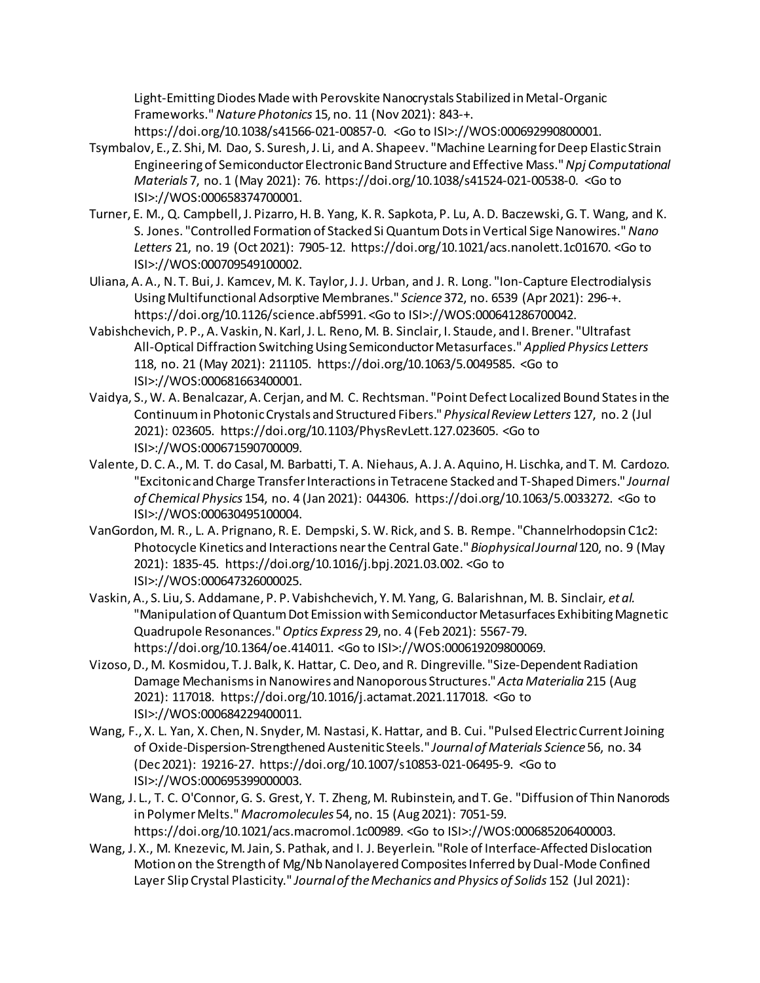Light-Emitting Diodes Made with Perovskite Nanocrystals Stabilized in Metal-Organic Frameworks." *Nature Photonics* 15, no. 11 (Nov 2021): 843-+.

https://doi.org/10.1038/s41566-021-00857-0. <Go to ISI>://WOS:000692990800001.

- Tsymbalov, E., Z. Shi, M. Dao, S. Suresh, J. Li, and A. Shapeev. "Machine Learning for Deep Elastic Strain Engineering of Semiconductor Electronic Band Structure and Effective Mass." *Npj Computational Materials* 7, no. 1 (May 2021): 76. https://doi.org/10.1038/s41524-021-00538-0. <Go to ISI>://WOS:000658374700001.
- Turner, E. M., Q. Campbell, J. Pizarro, H. B. Yang, K. R. Sapkota, P. Lu, A. D. Baczewski, G. T. Wang, and K. S. Jones. "Controlled Formation of Stacked Si Quantum Dots in Vertical Sige Nanowires." *Nano Letters* 21, no. 19 (Oct 2021): 7905-12. https://doi.org/10.1021/acs.nanolett.1c01670. <Go to ISI>://WOS:000709549100002.
- Uliana, A. A., N. T. Bui, J. Kamcev, M. K. Taylor, J. J. Urban, and J. R. Long. "Ion-Capture Electrodialysis Using Multifunctional Adsorptive Membranes." *Science* 372, no. 6539 (Apr 2021): 296-+. https://doi.org/10.1126/science.abf5991. <Go to ISI>://WOS:000641286700042.
- Vabishchevich, P. P., A. Vaskin, N. Karl, J. L. Reno, M. B. Sinclair, I. Staude, and I. Brener. "Ultrafast All-Optical Diffraction Switching Using Semiconductor Metasurfaces." *Applied Physics Letters*  118, no. 21 (May 2021): 211105. https://doi.org/10.1063/5.0049585. <Go to ISI>://WOS:000681663400001.
- Vaidya, S., W. A. Benalcazar, A. Cerjan, andM. C. Rechtsman. "Point Defect Localized Bound States in the Continuum in Photonic Crystals and Structured Fibers." *Physical Review Letters* 127, no. 2 (Jul 2021): 023605. https://doi.org/10.1103/PhysRevLett.127.023605. <Go to ISI>://WOS:000671590700009.
- Valente, D. C. A., M. T. do Casal, M. Barbatti, T. A. Niehaus, A. J. A. Aquino, H. Lischka, and T. M. Cardozo. "Excitonic and Charge Transfer Interactions in Tetracene Stacked and T-Shaped Dimers." *Journal of Chemical Physics* 154, no. 4 (Jan 2021): 044306. https://doi.org/10.1063/5.0033272. <Go to ISI>://WOS:000630495100004.
- VanGordon, M. R., L. A. Prignano, R. E. Dempski, S. W. Rick, and S. B. Rempe. "Channelrhodopsin C1c2: Photocycle Kinetics and Interactions near the Central Gate." *Biophysical Journal* 120, no. 9 (May 2021): 1835-45. https://doi.org/10.1016/j.bpj.2021.03.002. <Go to ISI>://WOS:000647326000025.
- Vaskin, A., S. Liu, S. Addamane, P. P. Vabishchevich, Y. M. Yang, G. Balarishnan, M. B. Sinclair*, et al.* "Manipulation of Quantum Dot Emission with Semiconductor Metasurfaces Exhibiting Magnetic Quadrupole Resonances." *Optics Express* 29, no. 4 (Feb 2021): 5567-79. https://doi.org/10.1364/oe.414011. <Go to ISI>://WOS:000619209800069.
- Vizoso, D., M. Kosmidou, T. J. Balk, K. Hattar, C. Deo, and R. Dingreville. "Size-Dependent Radiation Damage Mechanisms in Nanowires and Nanoporous Structures." *Acta Materialia* 215 (Aug 2021): 117018. https://doi.org/10.1016/j.actamat.2021.117018. <Go to ISI>://WOS:000684229400011.
- Wang, F., X. L. Yan, X. Chen, N. Snyder, M. Nastasi, K. Hattar, and B. Cui. "Pulsed Electric Current Joining of Oxide-Dispersion-Strengthened Austenitic Steels." *Journal of Materials Science* 56, no. 34 (Dec 2021): 19216-27. https://doi.org/10.1007/s10853-021-06495-9. <Go to ISI>://WOS:000695399000003.
- Wang, J. L., T. C. O'Connor, G. S. Grest, Y. T. Zheng, M. Rubinstein, and T. Ge. "Diffusion of Thin Nanorods in Polymer Melts." *Macromolecules* 54, no. 15 (Aug 2021): 7051-59. https://doi.org/10.1021/acs.macromol.1c00989. <Go to ISI>://WOS:000685206400003.
- Wang, J. X., M. Knezevic, M. Jain, S. Pathak, and I. J. Beyerlein. "Role of Interface-Affected Dislocation Motion on the Strength of Mg/Nb Nanolayered Composites Inferred by Dual-Mode Confined Layer Slip Crystal Plasticity." *Journal of the Mechanics and Physics of Solids* 152 (Jul 2021):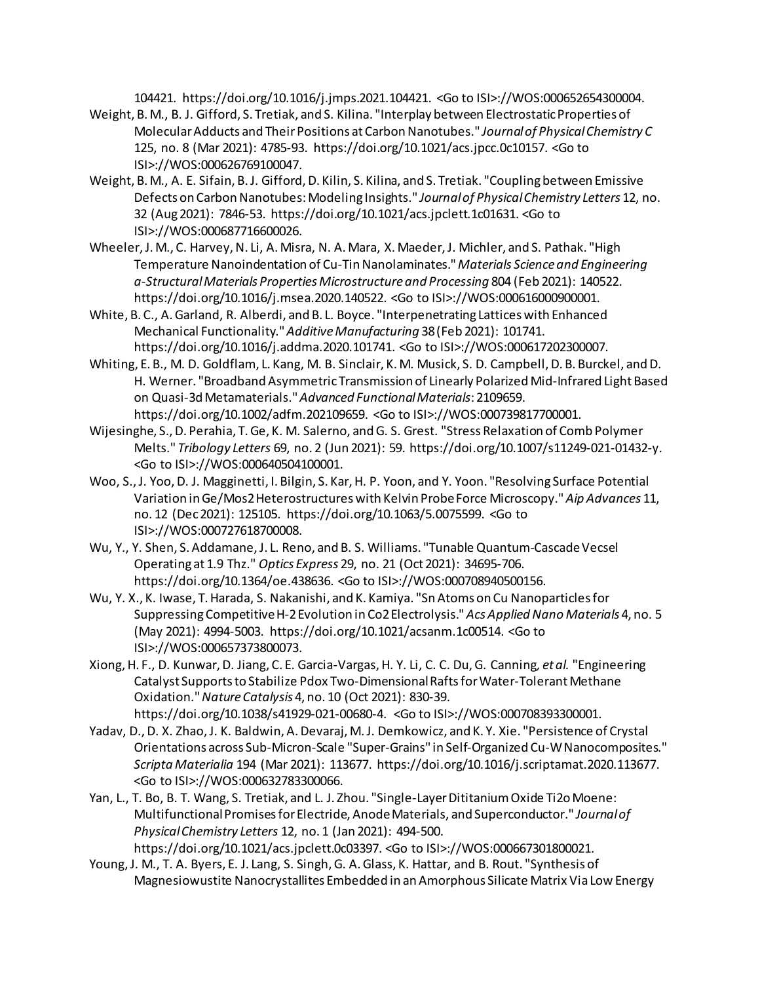104421. https://doi.org/10.1016/j.jmps.2021.104421. <Go to ISI>://WOS:000652654300004.

- Weight, B. M., B. J. Gifford, S. Tretiak, and S. Kilina. "Interplay between Electrostatic Properties of Molecular Adducts and Their Positions at Carbon Nanotubes." *Journal of Physical Chemistry C*  125, no. 8 (Mar 2021): 4785-93. https://doi.org/10.1021/acs.jpcc.0c10157. <Go to ISI>://WOS:000626769100047.
- Weight, B. M., A. E. Sifain, B. J. Gifford, D. Kilin, S. Kilina, and S. Tretiak. "Coupling between Emissive Defects on Carbon Nanotubes: Modeling Insights." *Journal of Physical Chemistry Letters* 12, no. 32 (Aug 2021): 7846-53. https://doi.org/10.1021/acs.jpclett.1c01631. <Go to ISI>://WOS:000687716600026.
- Wheeler, J. M., C. Harvey, N. Li, A. Misra, N. A. Mara, X. Maeder, J. Michler, and S. Pathak. "High Temperature Nanoindentation of Cu-Tin Nanolaminates." *Materials Science and Engineering a-Structural Materials Properties Microstructure and Processing* 804 (Feb 2021): 140522. https://doi.org/10.1016/j.msea.2020.140522. <Go to ISI>://WOS:000616000900001.
- White, B. C., A. Garland, R. Alberdi, and B. L. Boyce. "Interpenetrating Lattices with Enhanced Mechanical Functionality." *Additive Manufacturing* 38 (Feb 2021): 101741. https://doi.org/10.1016/j.addma.2020.101741. <Go to ISI>://WOS:000617202300007.
- Whiting, E. B., M. D. Goldflam, L. Kang, M. B. Sinclair, K. M. Musick, S. D. Campbell, D. B. Burckel, and D. H. Werner. "Broadband Asymmetric Transmission of Linearly Polarized Mid-Infrared Light Based on Quasi-3d Metamaterials." *Advanced Functional Materials*: 2109659. https://doi.org/10.1002/adfm.202109659. <Go to ISI>://WOS:000739817700001.
- Wijesinghe, S., D. Perahia, T. Ge, K. M. Salerno, and G. S. Grest. "Stress Relaxation of Comb Polymer Melts." *Tribology Letters* 69, no. 2 (Jun 2021): 59. https://doi.org/10.1007/s11249-021-01432-y. <Go to ISI>://WOS:000640504100001.
- Woo, S., J. Yoo, D. J. Magginetti, I. Bilgin, S. Kar, H. P. Yoon, and Y. Yoon. "Resolving Surface Potential Variation in Ge/Mos2 Heterostructures with Kelvin Probe Force Microscopy." *Aip Advances* 11, no. 12 (Dec 2021): 125105. https://doi.org/10.1063/5.0075599. <Go to ISI>://WOS:000727618700008.
- Wu, Y., Y. Shen, S. Addamane, J. L. Reno, and B. S. Williams. "Tunable Quantum-Cascade Vecsel Operating at 1.9 Thz." *Optics Express* 29, no. 21 (Oct 2021): 34695-706. https://doi.org/10.1364/oe.438636. <Go to ISI>://WOS:000708940500156.
- Wu, Y. X., K. Iwase, T. Harada, S. Nakanishi, and K. Kamiya. "Sn Atoms on Cu Nanoparticles for Suppressing Competitive H-2 Evolution in Co2 Electrolysis." *Acs Applied Nano Materials* 4, no. 5 (May 2021): 4994-5003. https://doi.org/10.1021/acsanm.1c00514. <Go to ISI>://WOS:000657373800073.
- Xiong, H. F., D. Kunwar, D. Jiang, C. E. Garcia-Vargas, H. Y. Li, C. C. Du, G. Canning*, et al.* "Engineering Catalyst Supports to Stabilize Pdox Two-Dimensional Rafts for Water-Tolerant Methane Oxidation." *Nature Catalysis* 4, no. 10 (Oct 2021): 830-39. https://doi.org/10.1038/s41929-021-00680-4. <Go to ISI>://WOS:000708393300001.
- Yadav, D., D. X. Zhao, J. K. Baldwin, A. Devaraj, M. J. Demkowicz, and K. Y. Xie. "Persistence of Crystal Orientations across Sub-Micron-Scale "Super-Grains" in Self-Organized Cu-W Nanocomposites." *Scripta Materialia* 194 (Mar 2021): 113677. https://doi.org/10.1016/j.scriptamat.2020.113677. <Go to ISI>://WOS:000632783300066.
- Yan, L., T. Bo, B. T. Wang, S. Tretiak, and L. J. Zhou. "Single-Layer Dititanium Oxide Ti2o Moene: Multifunctional Promises for Electride, Anode Materials, and Superconductor." *Journal of Physical Chemistry Letters* 12, no. 1 (Jan 2021): 494-500.

https://doi.org/10.1021/acs.jpclett.0c03397. <Go to ISI>://WOS:000667301800021.

Young, J. M., T. A. Byers, E. J. Lang, S. Singh, G. A. Glass, K. Hattar, and B. Rout. "Synthesis of Magnesiowustite Nanocrystallites Embedded in an Amorphous Silicate Matrix Via Low Energy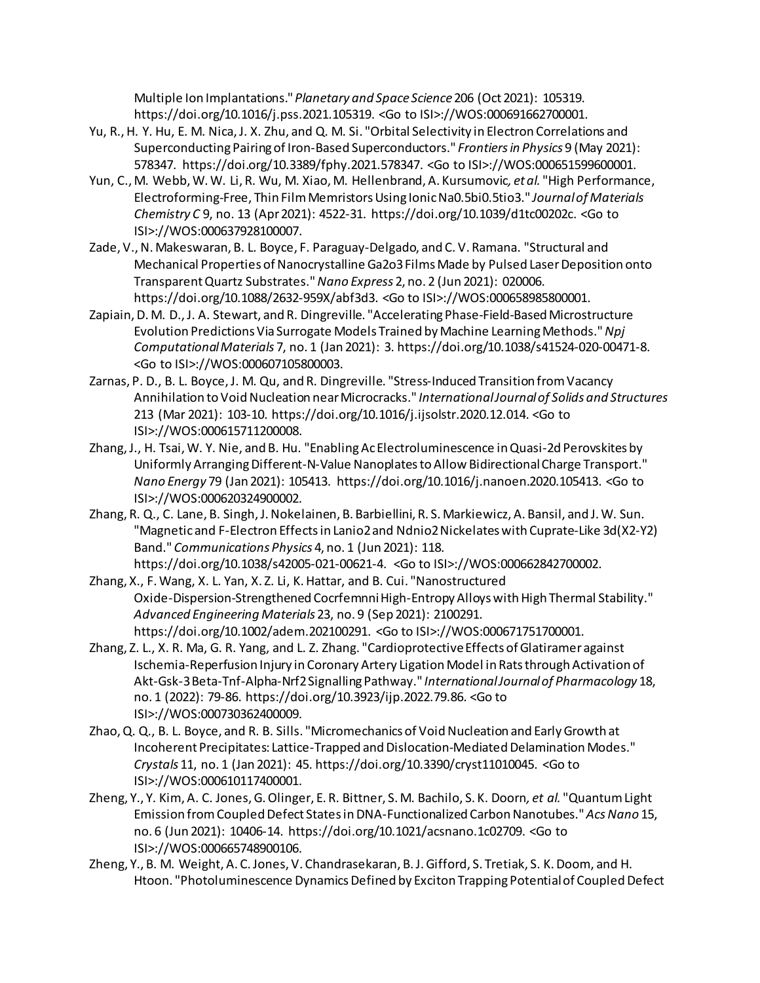Multiple Ion Implantations." *Planetary and Space Science* 206 (Oct 2021): 105319. https://doi.org/10.1016/j.pss.2021.105319. <Go to ISI>://WOS:000691662700001.

- Yu, R., H. Y. Hu, E. M. Nica, J. X. Zhu, and Q. M. Si. "Orbital Selectivity in Electron Correlations and Superconducting Pairing of Iron-Based Superconductors." *Frontiers in Physics* 9 (May 2021): 578347. https://doi.org/10.3389/fphy.2021.578347. <Go to ISI>://WOS:000651599600001.
- Yun, C., M. Webb, W. W. Li, R. Wu, M. Xiao, M. Hellenbrand, A. Kursumovic*, et al.* "High Performance, Electroforming-Free, Thin Film Memristors Using Ionic Na0.5bi0.5tio3." *Journal of Materials Chemistry C* 9, no. 13 (Apr 2021): 4522-31. https://doi.org/10.1039/d1tc00202c. <Go to ISI>://WOS:000637928100007.
- Zade, V., N. Makeswaran, B. L. Boyce, F. Paraguay-Delgado, and C. V. Ramana. "Structural and Mechanical Properties of Nanocrystalline Ga2o3 Films Made by Pulsed Laser Deposition onto Transparent Quartz Substrates." *Nano Express* 2, no. 2 (Jun 2021): 020006. https://doi.org/10.1088/2632-959X/abf3d3. <Go to ISI>://WOS:000658985800001.
- Zapiain, D. M. D., J. A. Stewart, and R. Dingreville. "Accelerating Phase-Field-Based Microstructure Evolution Predictions Via Surrogate Models Trained by Machine Learning Methods." *Npj Computational Materials* 7, no. 1 (Jan 2021): 3. https://doi.org/10.1038/s41524-020-00471-8. <Go to ISI>://WOS:000607105800003.
- Zarnas, P. D., B. L. Boyce, J. M. Qu, and R. Dingreville. "Stress-Induced Transition from Vacancy Annihilation to Void Nucleation near Microcracks." *International Journal of Solids and Structures*  213 (Mar 2021): 103-10. https://doi.org/10.1016/j.ijsolstr.2020.12.014. <Go to ISI>://WOS:000615711200008.
- Zhang, J., H. Tsai, W. Y. Nie, and B. Hu. "Enabling Ac Electroluminescence in Quasi-2d Perovskites by Uniformly Arranging Different-N-Value Nanoplates to Allow Bidirectional Charge Transport." *Nano Energy* 79 (Jan 2021): 105413. https://doi.org/10.1016/j.nanoen.2020.105413. <Go to ISI>://WOS:000620324900002.
- Zhang, R. Q., C. Lane, B. Singh, J. Nokelainen, B. Barbiellini, R. S. Markiewicz, A. Bansil, and J. W. Sun. "Magnetic and F-Electron Effects in Lanio2 and Ndnio2 Nickelates with Cuprate-Like 3d(X2-Y2) Band." *Communications Physics* 4, no. 1 (Jun 2021): 118. https://doi.org/10.1038/s42005-021-00621-4. <Go to ISI>://WOS:000662842700002.
- Zhang, X., F. Wang, X. L. Yan, X. Z. Li, K. Hattar, and B. Cui. "Nanostructured Oxide-Dispersion-Strengthened Cocrfemnni High-Entropy Alloys with High Thermal Stability." *Advanced Engineering Materials* 23, no. 9 (Sep 2021): 2100291. https://doi.org/10.1002/adem.202100291. <Go to ISI>://WOS:000671751700001.
- Zhang, Z. L., X. R. Ma, G. R. Yang, and L. Z. Zhang. "Cardioprotective Effects of Glatiramer against Ischemia-Reperfusion Injury in Coronary Artery Ligation Model in Rats through Activation of Akt-Gsk-3 Beta-Tnf-Alpha-Nrf2 Signalling Pathway." *International Journal of Pharmacology* 18, no. 1 (2022): 79-86. https://doi.org/10.3923/ijp.2022.79.86. <Go to ISI>://WOS:000730362400009.
- Zhao, Q. Q., B. L. Boyce, and R. B. Sills. "Micromechanics of Void Nucleation and Early Growth at Incoherent Precipitates: Lattice-Trapped and Dislocation-Mediated Delamination Modes." *Crystals* 11, no. 1 (Jan 2021): 45. https://doi.org/10.3390/cryst11010045. <Go to ISI>://WOS:000610117400001.
- Zheng, Y., Y. Kim, A. C. Jones, G. Olinger, E. R. Bittner, S. M. Bachilo, S. K. Doorn*, et al.* "Quantum Light Emission from Coupled Defect States in DNA-Functionalized Carbon Nanotubes." *Acs Nano* 15, no. 6 (Jun 2021): 10406-14. https://doi.org/10.1021/acsnano.1c02709. <Go to ISI>://WOS:000665748900106.
- Zheng, Y., B. M. Weight, A. C. Jones, V. Chandrasekaran, B. J. Gifford, S. Tretiak, S. K. Doom, and H. Htoon. "Photoluminescence Dynamics Defined by Exciton Trapping Potential of Coupled Defect